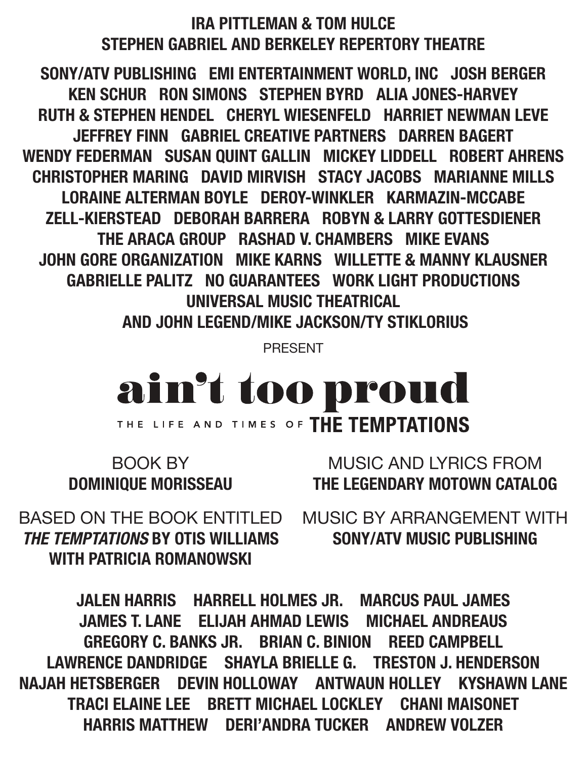#### IRA PITTLEMAN & TOM HULCE STEPHEN GABRIEL AND BERKELEY REPERTORY THEATRE

SONY/ATV PUBLISHING EMI ENTERTAINMENT WORLD, INC JOSH BERGER KEN SCHUR RON SIMONS STEPHEN BYRD ALIA JONES-HARVEY RUTH & STEPHEN HENDEL CHERYL WIESENFELD HARRIET NEWMAN LEVE JEFFREY FINN GABRIEL CREATIVE PARTNERS DARREN BAGERT WENDY FEDERMAN SUSAN QUINT GALLIN MICKEY LIDDELL ROBERT AHRENS CHRISTOPHER MARING DAVID MIRVISH STACY JACOBS MARIANNE MILLS LORAINE ALTERMAN BOYLE DEROY-WINKLER KARMAZIN-MCCABE ZELL-KIERSTEAD DEBORAH BARRERA ROBYN & LARRY GOTTESDIENER THE ARACA GROUP RASHAD V. CHAMBERS MIKE EVANS JOHN GORE ORGANIZATION MIKE KARNS WILLETTE & MANNY KLAUSNER GABRIELLE PALITZ NO GUARANTEES WORK LIGHT PRODUCTIONS UNIVERSAL MUSIC THEATRICAL AND JOHN LEGEND/MIKE JACKSON/TY STIKLORIUS

PRESENT

# ain't too proud THE LIFE AND TIMES OF THE TEMPTATIONS

BOOK BY MUSIC AND LYRICS FROM DOMINIQUE MORISSEAU THE LEGENDARY MOTOWN CATALOG

*THE TEMPTATIONS* BY OTIS WILLIAMS SONY/ATV MUSIC PUBLISHING WITH PATRICIA ROMANOWSKI

BASED ON THE BOOK ENTITLED MUSIC BY ARRANGEMENT WITH

JALEN HARRIS HARRELL HOLMES JR. MARCUS PAUL JAMES JAMES T. LANE ELIJAH AHMAD LEWIS MICHAEL ANDREAUS GREGORY C. BANKS JR. BRIAN C. BINION REED CAMPBELL LAWRENCE DANDRIDGE SHAYLA BRIELLE G. TRESTON J. HENDERSON NAJAH HETSBERGER DEVIN HOLLOWAY ANTWAUN HOLLEY KYSHAWN LANE TRACI ELAINE LEE BRETT MICHAEL LOCKLEY CHANI MAISONET HARRIS MATTHEW DERI'ANDRA TUCKER ANDREW VOLZER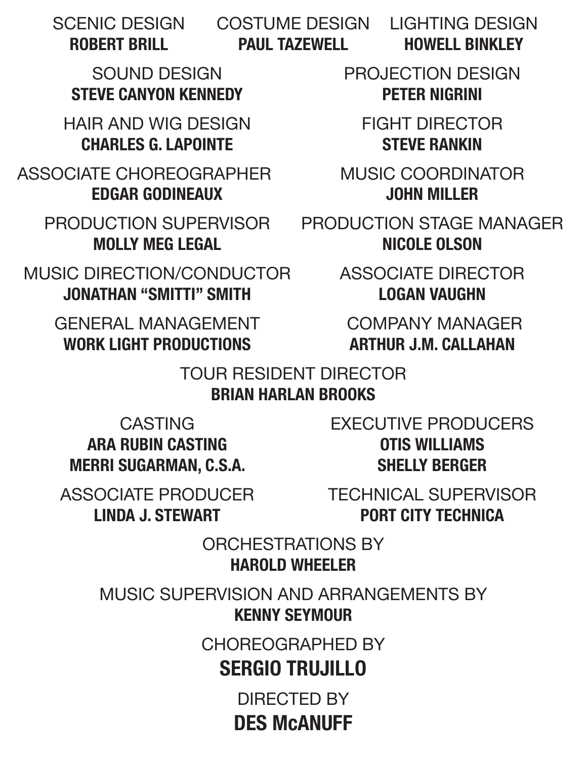SCENIC DESIGN COSTUME DESIGN LIGHTING DESIGN

ROBERT BRILL **PAUL TAZEWELL HOWELL BINKLEY** 

STEVE CANYON KENNEDY **PETER NIGRINI** 

HAIR AND WIG DESIGN FIGHT DIRECTOR CHARLES G. LAPOINTE STEVE RANKIN

ASSOCIATE CHOREOGRAPHER MUSIC COORDINATOR EDGAR GODINEAUX JOHN MILLER

MUSIC DIRECTION/CONDUCTOR ASSOCIATE DIRECTOR JONATHAN "SMITTI" SMITH LOGAN VAUGHN

GENERAL MANAGEMENT COMPANY MANAGER WORK LIGHT PRODUCTIONS ARTHUR J.M. CALLAHAN

SOUND DESIGN PROJECTION DESIGN

PRODUCTION SUPERVISOR PRODUCTION STAGE MANAGER MOLLY MEG LEGAL NICOLE OLSON

### TOUR RESIDENT DIRECTOR BRIAN HARLAN BROOKS

ARA RUBIN CASTING **OTIS WILLIAMS** MERRI SUGARMAN, C.S.A. SHELLY BERGER

CASTING EXECUTIVE PRODUCERS

ASSOCIATE PRODUCER TECHNICAL SUPERVISOR LINDA J. STEWART PORT CITY TECHNICA

> ORCHESTRATIONS BY HAROLD WHEELER

MUSIC SUPERVISION AND ARRANGEMENTS BY KENNY SEYMOUR

CHOREOGRAPHED BY

# SERGIO TRUJILLO

DIRECTED BY DES McANUFF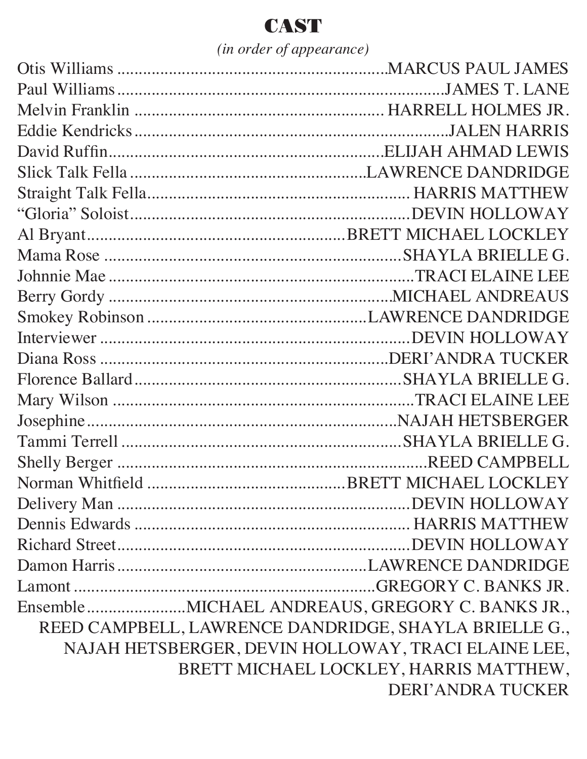# **CAST**

*(in order of appearance)*

| EnsembleMICHAEL ANDREAUS, GREGORY C. BANKS JR.,       |                                        |
|-------------------------------------------------------|----------------------------------------|
| REED CAMPBELL, LAWRENCE DANDRIDGE, SHAYLA BRIELLE G., |                                        |
| NAJAH HETSBERGER, DEVIN HOLLOWAY, TRACI ELAINE LEE,   |                                        |
|                                                       | BRETT MICHAEL LOCKLEY, HARRIS MATTHEW, |
|                                                       | <b>DERI'ANDRA TUCKER</b>               |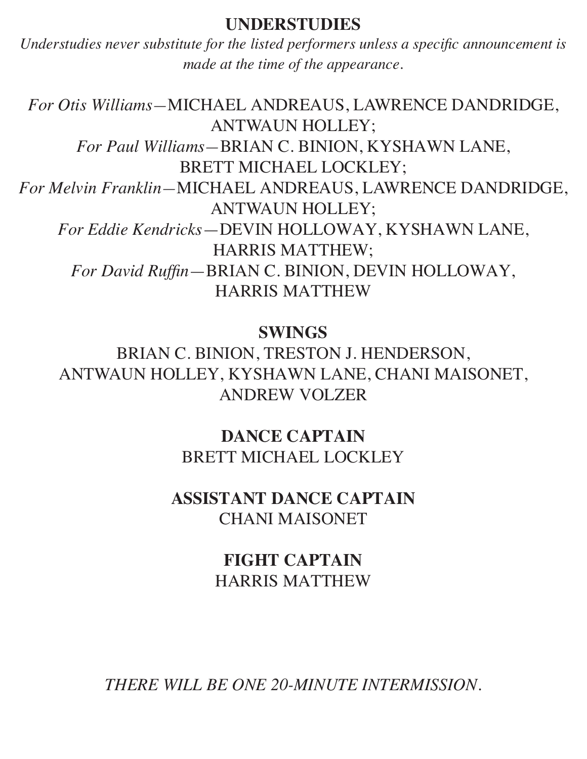#### **UNDERSTUDIES**

*Understudies never substitute for the listed performers unless a specific announcement is made at the time of the appearance.*

*For Otis Williams—*MICHAEL ANDREAUS, LAWRENCE DANDRIDGE, ANTWAUN HOLLEY; *For Paul Williams—*BRIAN C. BINION, KYSHAWN LANE, BRETT MICHAEL LOCKLEY; *For Melvin Franklin—*MICHAEL ANDREAUS, LAWRENCE DANDRIDGE, ANTWAUN HOLLEY; *For Eddie Kendricks*—DEVIN HOLLOWAY, KYSHAWN LANE, HARRIS MATTHEW; *For David Ruffin*—BRIAN C. BINION, DEVIN HOLLOWAY, HARRIS MATTHEW

#### **SWINGS**

BRIAN C. BINION, TRESTON J. HENDERSON, ANTWAUN HOLLEY, KYSHAWN LANE, CHANI MAISONET, ANDREW VOLZER

> **DANCE CAPTAIN** BRETT MICHAEL LOCKLEY

### **ASSISTANT DANCE CAPTAIN** CHANI MAISONET

**FIGHT CAPTAIN** HARRIS MATTHEW

*THERE WILL BE ONE 20-MINUTE INTERMISSION.*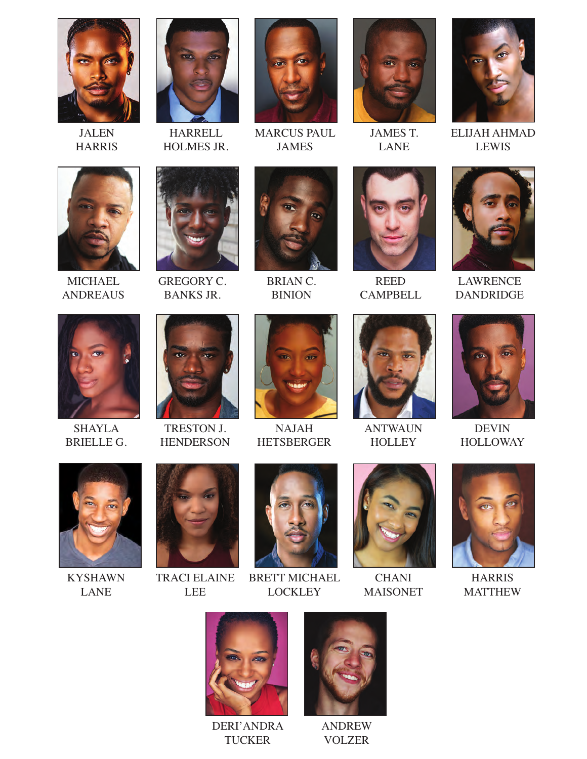

JALEN HARRIS



HARRELL HOLMES JR.



MARCUS PAUL JAMES



JAMES T. LANE



ELIJAH AHMAD LEWIS



MICHAEL ANDREAUS



GREGORY C. BANKS JR.



BRIAN C. BINION



REED **CAMPBELL** 



LAWRENCE DANDRIDGE



SHAYLA BRIELLE G.



TRESTON J. **HENDERSON** 



NAJAH HETSBERGER



ANTWAUN **HOLLEY** 



DEVIN HOLLOWAY



KYSHAWN LANE



TRACI ELAINE LEE



BRETT MICHAEL LOCKLEY



**CHANI** MAISONET



HARRIS MATTHEW



DERI'ANDRA **TUCKER** 



ANDREW VOLZER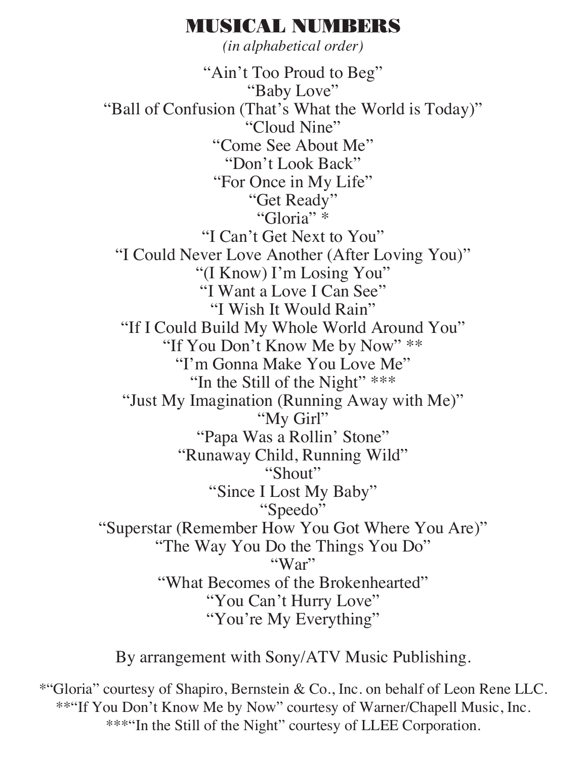### MUSICAL NUMBERS

*(in alphabetical order)*

"Ain't Too Proud to Beg" "Baby Love" "Ball of Confusion (That's What the World is Today)" "Cloud Nine" "Come See About Me" "Don't Look Back" "For Once in My Life" "Get Ready" "Gloria" \* "I Can't Get Next to You" "I Could Never Love Another (After Loving You)" "(I Know) I'm Losing You" "I Want a Love I Can See" "I Wish It Would Rain" "If I Could Build My Whole World Around You" "If You Don't Know Me by Now" \*\* "I'm Gonna Make You Love Me" "In the Still of the Night" \*\*\* "Just My Imagination (Running Away with Me)" "My Girl" "Papa Was a Rollin' Stone" "Runaway Child, Running Wild" "Shout" "Since I Lost My Baby" "Speedo" "Superstar (Remember How You Got Where You Are)" "The Way You Do the Things You Do" "War" "What Becomes of the Brokenhearted" "You Can't Hurry Love" "You're My Everything"

By arrangement with Sony/ATV Music Publishing.

\*"Gloria" courtesy of Shapiro, Bernstein & Co., Inc. on behalf of Leon Rene LLC. \*\*"If You Don't Know Me by Now" courtesy of Warner/Chapell Music, Inc. \*\*\*"In the Still of the Night" courtesy of LLEE Corporation.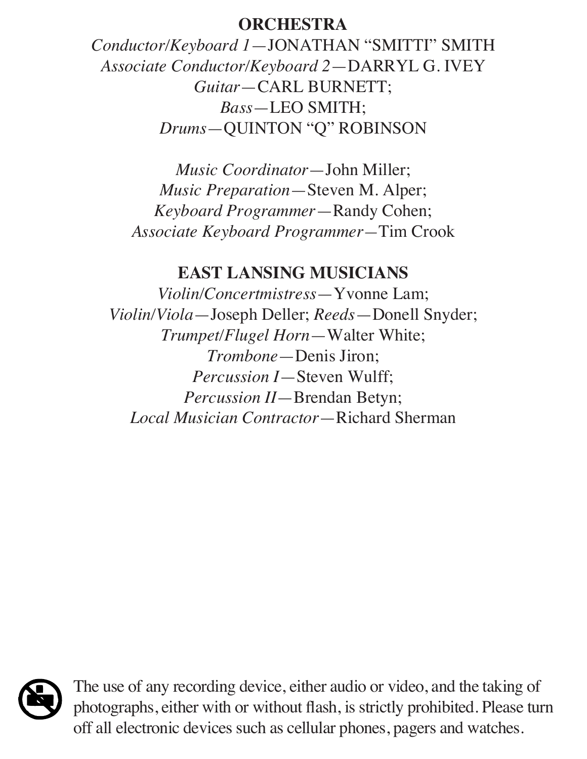#### **ORCHESTRA**

*Conductor/Keyboard 1*—JONATHAN "SMITTI" SMITH *Associate Conductor/Keyboard 2*—DARRYL G. IVEY *Guitar*—CARL BURNETT; *Bass*—LEO SMITH; *Drums*—QUINTON "Q" ROBINSON

*Music Coordinator*—John Miller; *Music Preparation*—Steven M. Alper; *Keyboard Programmer*—Randy Cohen; *Associate Keyboard Programmer—*Tim Crook

#### **EAST LANSING MUSICIANS**

*Violin/Concertmistress*—Yvonne Lam; *Violin/Viola*—Joseph Deller; *Reeds*—Donell Snyder; *Trumpet/Flugel Horn*—Walter White; *Trombone*—Denis Jiron; *Percussion I*—Steven Wulff; *Percussion II*—Brendan Betyn; *Local Musician Contractor*—Richard Sherman



The use of any recording device, either audio or video, and the taking of photographs, either with or without flash, is strictly prohibited. Please turn off all electronic devices such as cellular phones, pagers and watches.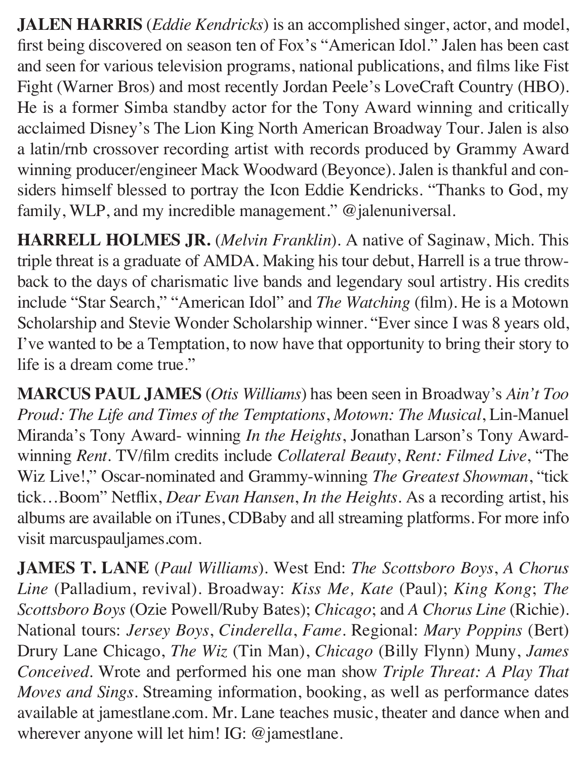**JALEN HARRIS** (*Eddie Kendricks*) is an accomplished singer, actor, and model, first being discovered on season ten of Fox's "American Idol." Jalen has been cast and seen for various television programs, national publications, and films like Fist Fight (Warner Bros) and most recently Jordan Peele's LoveCraft Country (HBO). He is a former Simba standby actor for the Tony Award winning and critically acclaimed Disney's The Lion King North American Broadway Tour. Jalen is also a latin/rnb crossover recording artist with records produced by Grammy Award winning producer/engineer Mack Woodward (Beyonce). Jalen is thankful and considers himself blessed to portray the Icon Eddie Kendricks. "Thanks to God, my family, WLP, and my incredible management." @jalenuniversal.

**HARRELL HOLMES JR.** (*Melvin Franklin*). A native of Saginaw, Mich. This triple threat is a graduate of AMDA. Making his tour debut, Harrell is a true throwback to the days of charismatic live bands and legendary soul artistry. His credits include "Star Search," "American Idol" and *The Watching* (film). He is a Motown Scholarship and Stevie Wonder Scholarship winner. "Ever since I was 8 years old, I've wanted to be a Temptation, to now have that opportunity to bring their story to life is a dream come true."

**MARCUS PAUL JAMES** (*Otis Williams*) has been seen in Broadway's *Ain't Too Proud: The Life and Times of the Temptations*, *Motown: The Musical*, Lin-Manuel Miranda's Tony Award- winning *In the Heights*, Jonathan Larson's Tony Awardwinning *Rent*. TV/film credits include *Collateral Beauty*, *Rent: Filmed Live*, "The Wiz Live!," Oscar-nominated and Grammy-winning *The Greatest Showman*, "tick tick…Boom" Netflix, *Dear Evan Hansen*, *In the Heights*. As a recording artist, his albums are available on iTunes, CDBaby and all streaming platforms. For more info visit marcuspauljames.com.

**JAMES T. LANE** (*Paul Williams*). West End: *The Scottsboro Boys*, *A Chorus Line* (Palladium, revival). Broadway: *Kiss Me, Kate* (Paul); *King Kong*; *The Scottsboro Boys* (Ozie Powell/Ruby Bates); *Chicago*; and *A Chorus Line* (Richie). National tours: *Jersey Boys*, *Cinderella*, *Fame*. Regional: *Mary Poppins* (Bert) Drury Lane Chicago, *The Wiz* (Tin Man), *Chicago* (Billy Flynn) Muny, *James Conceived*. Wrote and performed his one man show *Triple Threat: A Play That Moves and Sings*. Streaming information, booking, as well as performance dates available at jamestlane.com. Mr. Lane teaches music, theater and dance when and wherever anyone will let him! IG: @jamestlane.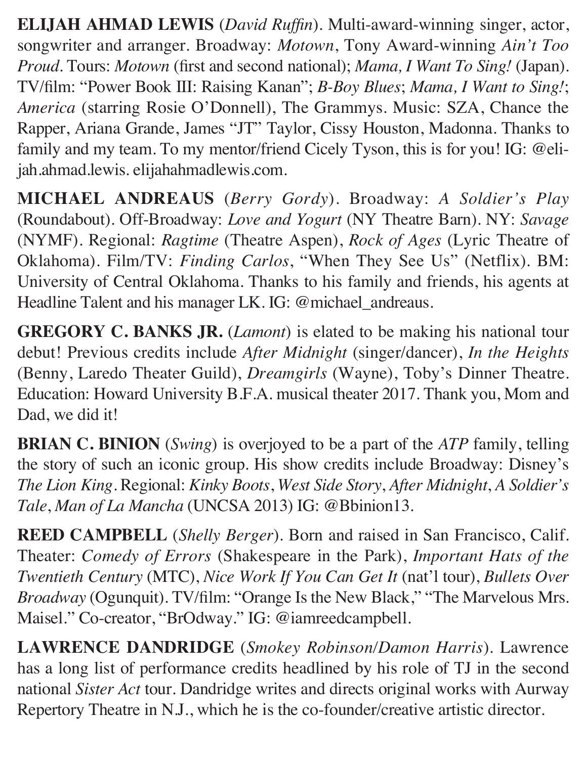**ELIJAH AHMAD LEWIS** (*David Ruffin*). Multi-award-winning singer, actor, songwriter and arranger. Broadway: *Motown*, Tony Award-winning *Ain't Too Proud*. Tours: *Motown* (first and second national); *Mama, I Want To Sing!* (Japan). TV/film: "Power Book III: Raising Kanan"; *B-Boy Blues*; *Mama, I Want to Sing!*; *America* (starring Rosie O'Donnell), The Grammys. Music: SZA, Chance the Rapper, Ariana Grande, James "JT" Taylor, Cissy Houston, Madonna. Thanks to family and my team. To my mentor/friend Cicely Tyson, this is for you! IG: @elijah.ahmad.lewis. elijahahmadlewis.com.

**MICHAEL ANDREAUS** (*Berry Gordy*). Broadway: *A Soldier's Play*  (Roundabout). Off-Broadway: *Love and Yogurt* (NY Theatre Barn). NY: *Savage*  (NYMF). Regional: *Ragtime* (Theatre Aspen), *Rock of Ages* (Lyric Theatre of Oklahoma). Film/TV: *Finding Carlos*, "When They See Us" (Netflix). BM: University of Central Oklahoma. Thanks to his family and friends, his agents at Headline Talent and his manager LK. IG: @michael\_andreaus.

**GREGORY C. BANKS JR.** (*Lamont*) is elated to be making his national tour debut! Previous credits include *After Midnight* (singer/dancer), *In the Heights*  (Benny, Laredo Theater Guild), *Dreamgirls* (Wayne), Toby's Dinner Theatre. Education: Howard University B.F.A. musical theater 2017. Thank you, Mom and Dad, we did it!

**BRIAN C. BINION** (*Swing*) is overjoyed to be a part of the *ATP* family, telling the story of such an iconic group. His show credits include Broadway: Disney's *The Lion King*. Regional: *Kinky Boots*, *West Side Story*, *After Midnight*, *A Soldier's Tale*, *Man of La Mancha* (UNCSA 2013) IG: @Bbinion13.

**REED CAMPBELL** (*Shelly Berger*). Born and raised in San Francisco, Calif. Theater: *Comedy of Errors* (Shakespeare in the Park), *Important Hats of the Twentieth Century* (MTC), *Nice Work If You Can Get It* (nat'l tour), *Bullets Over Broadway* (Ogunquit). TV/film: "Orange Is the New Black," "The Marvelous Mrs. Maisel." Co-creator, "BrOdway." IG: @iamreedcampbell.

**LAWRENCE DANDRIDGE** (*Smokey Robinson/Damon Harris*). Lawrence has a long list of performance credits headlined by his role of TJ in the second national *Sister Act* tour. Dandridge writes and directs original works with Aurway Repertory Theatre in N.J., which he is the co-founder/creative artistic director.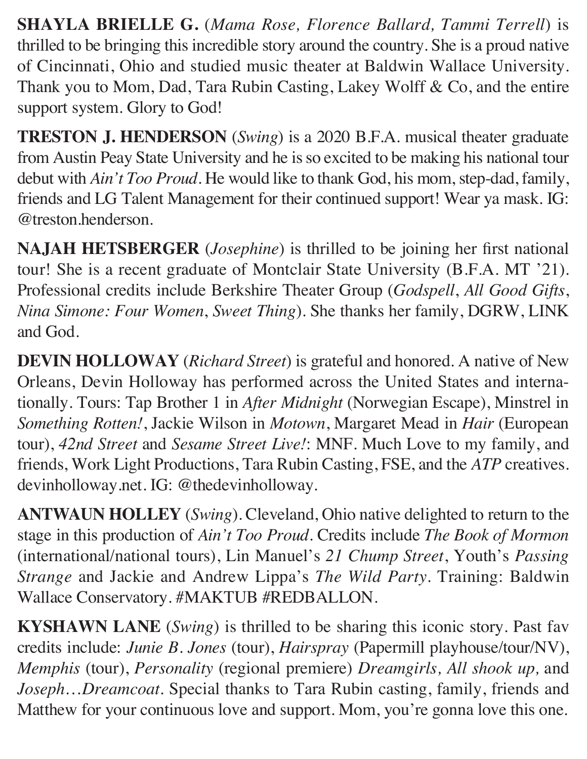**SHAYLA BRIELLE G.** (*Mama Rose, Florence Ballard, Tammi Terrell*) is thrilled to be bringing this incredible story around the country. She is a proud native of Cincinnati, Ohio and studied music theater at Baldwin Wallace University. Thank you to Mom, Dad, Tara Rubin Casting, Lakey Wolff & Co, and the entire support system. Glory to God!

**TRESTON J. HENDERSON** (*Swing*) is a 2020 B.F.A. musical theater graduate from Austin Peay State University and he is so excited to be making his national tour debut with *Ain't Too Proud*. He would like to thank God, his mom, step-dad, family, friends and LG Talent Management for their continued support! Wear ya mask. IG: @treston.henderson.

**NAJAH HETSBERGER** (*Josephine*) is thrilled to be joining her first national tour! She is a recent graduate of Montclair State University (B.F.A. MT '21). Professional credits include Berkshire Theater Group (*Godspell*, *All Good Gifts*, *Nina Simone: Four Women*, *Sweet Thing*). She thanks her family, DGRW, LINK and God.

**DEVIN HOLLOWAY** (*Richard Street*) is grateful and honored. A native of New Orleans, Devin Holloway has performed across the United States and internationally. Tours: Tap Brother 1 in *After Midnight* (Norwegian Escape), Minstrel in *Something Rotten!*, Jackie Wilson in *Motown*, Margaret Mead in *Hair* (European tour), *42nd Street* and *Sesame Street Live!*: MNF. Much Love to my family, and friends, Work Light Productions, Tara Rubin Casting, FSE, and the *ATP* creatives. devinholloway.net. IG: @thedevinholloway.

**ANTWAUN HOLLEY** (*Swing*). Cleveland, Ohio native delighted to return to the stage in this production of *Ain't Too Proud*. Credits include *The Book of Mormon*  (international/national tours), Lin Manuel's *21 Chump Street*, Youth's *Passing Strange* and Jackie and Andrew Lippa's *The Wild Party*. Training: Baldwin Wallace Conservatory. #MAKTUB #REDBALLON.

**KYSHAWN LANE** (*Swing*) is thrilled to be sharing this iconic story. Past fav credits include: *Junie B. Jones* (tour), *Hairspray* (Papermill playhouse/tour/NV), *Memphis* (tour), *Personality* (regional premiere) *Dreamgirls, All shook up,* and *Joseph*…*Dreamcoat*. Special thanks to Tara Rubin casting, family, friends and Matthew for your continuous love and support. Mom, you're gonna love this one.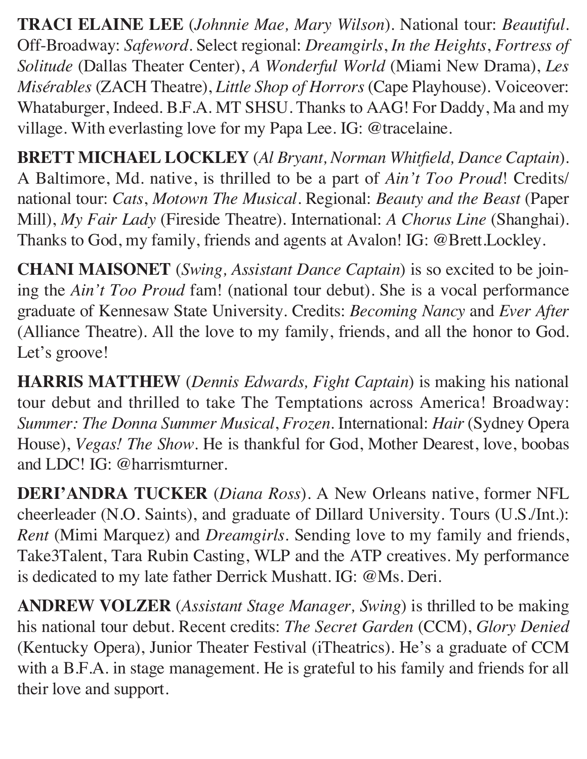**TRACI ELAINE LEE** (*Johnnie Mae, Mary Wilson*). National tour: *Beautiful*. Off-Broadway: *Safeword*. Select regional: *Dreamgirls*, *In the Heights*, *Fortress of Solitude* (Dallas Theater Center), *A Wonderful World* (Miami New Drama), *Les Misérables* (ZACH Theatre), *Little Shop of Horrors* (Cape Playhouse). Voiceover: Whataburger, Indeed. B.F.A. MT SHSU. Thanks to AAG! For Daddy, Ma and my village. With everlasting love for my Papa Lee. IG: @tracelaine.

**BRETT MICHAEL LOCKLEY** (*Al Bryant, Norman Whitfield, Dance Captain*). A Baltimore, Md. native, is thrilled to be a part of *Ain't Too Proud*! Credits/ national tour: *Cats*, *Motown The Musical*. Regional: *Beauty and the Beast* (Paper Mill), *My Fair Lady* (Fireside Theatre). International: *A Chorus Line* (Shanghai). Thanks to God, my family, friends and agents at Avalon! IG: @Brett.Lockley.

**CHANI MAISONET** (*Swing, Assistant Dance Captain*) is so excited to be joining the *Ain't Too Proud* fam! (national tour debut). She is a vocal performance graduate of Kennesaw State University. Credits: *Becoming Nancy* and *Ever After*  (Alliance Theatre). All the love to my family, friends, and all the honor to God. Let's groove!

**HARRIS MATTHEW** (*Dennis Edwards, Fight Captain*) is making his national tour debut and thrilled to take The Temptations across America! Broadway: *Summer: The Donna Summer Musical*, *Frozen*. International: *Hair* (Sydney Opera House), *Vegas! The Show*. He is thankful for God, Mother Dearest, love, boobas and LDC! IG: @harrismturner.

**DERI'ANDRA TUCKER** (*Diana Ross*). A New Orleans native, former NFL cheerleader (N.O. Saints), and graduate of Dillard University. Tours (U.S./Int.): *Rent* (Mimi Marquez) and *Dreamgirls*. Sending love to my family and friends, Take3Talent, Tara Rubin Casting, WLP and the ATP creatives. My performance is dedicated to my late father Derrick Mushatt. IG: @Ms. Deri.

**ANDREW VOLZER** (*Assistant Stage Manager, Swing*) is thrilled to be making his national tour debut. Recent credits: *The Secret Garden* (CCM), *Glory Denied*  (Kentucky Opera), Junior Theater Festival (iTheatrics). He's a graduate of CCM with a B.F.A. in stage management. He is grateful to his family and friends for all their love and support.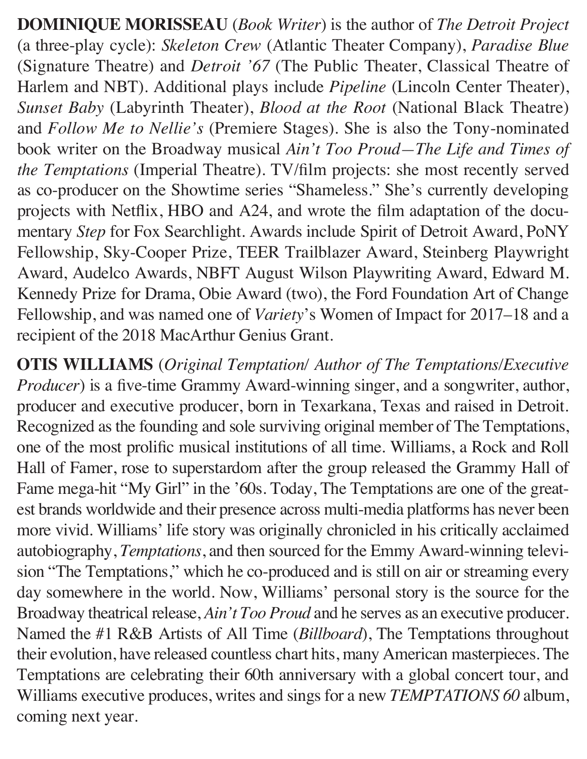**DOMINIQUE MORISSEAU** (*Book Writer*) is the author of *The Detroit Project*  (a three-play cycle): *Skeleton Crew* (Atlantic Theater Company), *Paradise Blue*  (Signature Theatre) and *Detroit '67* (The Public Theater, Classical Theatre of Harlem and NBT). Additional plays include *Pipeline* (Lincoln Center Theater), *Sunset Baby* (Labyrinth Theater), *Blood at the Root* (National Black Theatre) and *Follow Me to Nellie's* (Premiere Stages). She is also the Tony-nominated book writer on the Broadway musical *Ain't Too Proud—The Life and Times of the Temptations* (Imperial Theatre). TV/film projects: she most recently served as co-producer on the Showtime series "Shameless." She's currently developing projects with Netflix, HBO and A24, and wrote the film adaptation of the documentary *Step* for Fox Searchlight. Awards include Spirit of Detroit Award, PoNY Fellowship, Sky-Cooper Prize, TEER Trailblazer Award, Steinberg Playwright Award, Audelco Awards, NBFT August Wilson Playwriting Award, Edward M. Kennedy Prize for Drama, Obie Award (two), the Ford Foundation Art of Change Fellowship, and was named one of *Variety*'s Women of Impact for 2017–18 and a recipient of the 2018 MacArthur Genius Grant.

**OTIS WILLIAMS** (*Original Temptation/ Author of The Temptations/Executive Producer*) is a five-time Grammy Award-winning singer, and a songwriter, author, producer and executive producer, born in Texarkana, Texas and raised in Detroit. Recognized as the founding and sole surviving original member of The Temptations, one of the most prolific musical institutions of all time. Williams, a Rock and Roll Hall of Famer, rose to superstardom after the group released the Grammy Hall of Fame mega-hit "My Girl" in the '60s. Today, The Temptations are one of the greatest brands worldwide and their presence across multi-media platforms has never been more vivid. Williams' life story was originally chronicled in his critically acclaimed autobiography, *Temptations*, and then sourced for the Emmy Award-winning television "The Temptations," which he co-produced and is still on air or streaming every day somewhere in the world. Now, Williams' personal story is the source for the Broadway theatrical release, *Ain't Too Proud* and he serves as an executive producer. Named the #1 R&B Artists of All Time (*Billboard*), The Temptations throughout their evolution, have released countless chart hits, many American masterpieces. The Temptations are celebrating their 60th anniversary with a global concert tour, and Williams executive produces, writes and sings for a new *TEMPTATIONS 60* album, coming next year.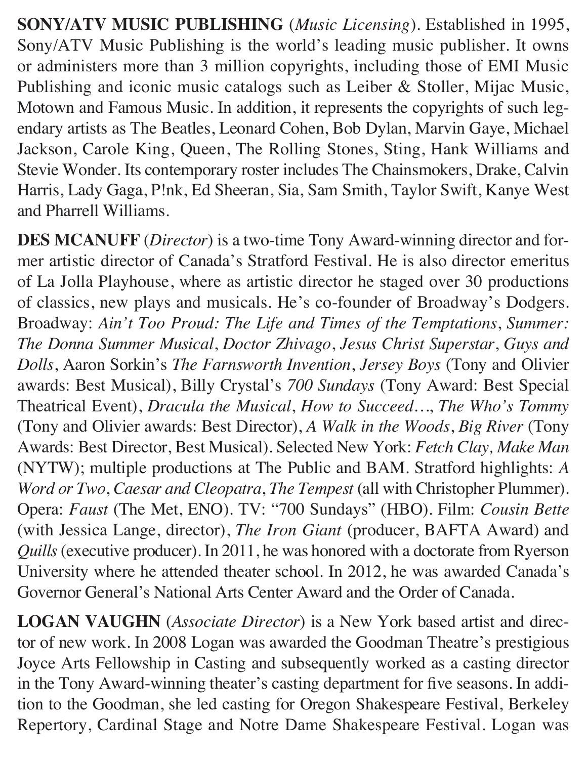**SONY/ATV MUSIC PUBLISHING** (*Music Licensing*). Established in 1995, Sony/ATV Music Publishing is the world's leading music publisher. It owns or administers more than 3 million copyrights, including those of EMI Music Publishing and iconic music catalogs such as Leiber & Stoller, Mijac Music, Motown and Famous Music. In addition, it represents the copyrights of such legendary artists as The Beatles, Leonard Cohen, Bob Dylan, Marvin Gaye, Michael Jackson, Carole King, Queen, The Rolling Stones, Sting, Hank Williams and Stevie Wonder. Its contemporary roster includes The Chainsmokers, Drake, Calvin Harris, Lady Gaga, P!nk, Ed Sheeran, Sia, Sam Smith, Taylor Swift, Kanye West and Pharrell Williams.

**DES MCANUFF** (*Director*) is a two-time Tony Award-winning director and former artistic director of Canada's Stratford Festival. He is also director emeritus of La Jolla Playhouse, where as artistic director he staged over 30 productions of classics, new plays and musicals. He's co-founder of Broadway's Dodgers. Broadway: *Ain't Too Proud: The Life and Times of the Temptations*, *Summer: The Donna Summer Musical*, *Doctor Zhivago*, *Jesus Christ Superstar*, *Guys and Dolls*, Aaron Sorkin's *The Farnsworth Invention*, *Jersey Boys* (Tony and Olivier awards: Best Musical), Billy Crystal's *700 Sundays* (Tony Award: Best Special Theatrical Event), *Dracula the Musical*, *How to Succeed…*, *The Who's Tommy*  (Tony and Olivier awards: Best Director), *A Walk in the Woods*, *Big River* (Tony Awards: Best Director, Best Musical). Selected New York: *Fetch Clay, Make Man*  (NYTW); multiple productions at The Public and BAM. Stratford highlights: *A Word or Two*, *Caesar and Cleopatra*, *The Tempest* (all with Christopher Plummer). Opera: *Faust* (The Met, ENO). TV: "700 Sundays" (HBO). Film: *Cousin Bette*  (with Jessica Lange, director), *The Iron Giant* (producer, BAFTA Award) and *Quills* (executive producer). In 2011, he was honored with a doctorate from Ryerson University where he attended theater school. In 2012, he was awarded Canada's Governor General's National Arts Center Award and the Order of Canada.

**LOGAN VAUGHN** (*Associate Director*) is a New York based artist and director of new work. In 2008 Logan was awarded the Goodman Theatre's prestigious Joyce Arts Fellowship in Casting and subsequently worked as a casting director in the Tony Award-winning theater's casting department for five seasons. In addition to the Goodman, she led casting for Oregon Shakespeare Festival, Berkeley Repertory, Cardinal Stage and Notre Dame Shakespeare Festival. Logan was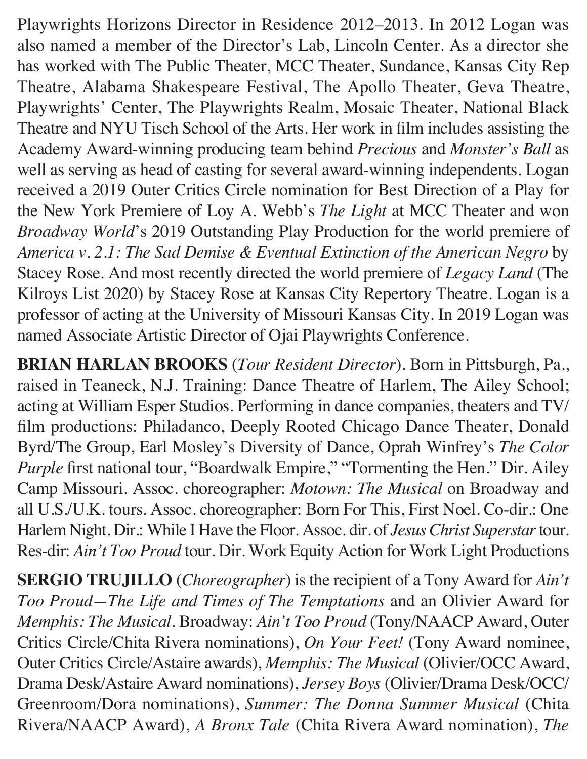Playwrights Horizons Director in Residence 2012–2013. In 2012 Logan was also named a member of the Director's Lab, Lincoln Center. As a director she has worked with The Public Theater, MCC Theater, Sundance, Kansas City Rep Theatre, Alabama Shakespeare Festival, The Apollo Theater, Geva Theatre, Playwrights' Center, The Playwrights Realm, Mosaic Theater, National Black Theatre and NYU Tisch School of the Arts. Her work in film includes assisting the Academy Award-winning producing team behind *Precious* and *Monster's Ball* as well as serving as head of casting for several award-winning independents. Logan received a 2019 Outer Critics Circle nomination for Best Direction of a Play for the New York Premiere of Loy A. Webb's *The Light* at MCC Theater and won *Broadway World*'s 2019 Outstanding Play Production for the world premiere of *America v. 2.1: The Sad Demise & Eventual Extinction of the American Negro* by Stacey Rose. And most recently directed the world premiere of *Legacy Land* (The Kilroys List 2020) by Stacey Rose at Kansas City Repertory Theatre. Logan is a professor of acting at the University of Missouri Kansas City. In 2019 Logan was named Associate Artistic Director of Ojai Playwrights Conference.

**BRIAN HARLAN BROOKS** (*Tour Resident Director*). Born in Pittsburgh, Pa., raised in Teaneck, N.J. Training: Dance Theatre of Harlem, The Ailey School; acting at William Esper Studios. Performing in dance companies, theaters and TV/ film productions: Philadanco, Deeply Rooted Chicago Dance Theater, Donald Byrd/The Group, Earl Mosley's Diversity of Dance, Oprah Winfrey's *The Color Purple* first national tour, "Boardwalk Empire," "Tormenting the Hen." Dir. Ailey Camp Missouri. Assoc. choreographer: *Motown: The Musical* on Broadway and all U.S./U.K. tours. Assoc. choreographer: Born For This, First Noel. Co-dir.: One Harlem Night. Dir.: While I Have the Floor. Assoc. dir. of *Jesus Christ Superstar* tour. Res-dir: *Ain't Too Proud* tour. Dir. Work Equity Action for Work Light Productions

**SERGIO TRUJILLO** (*Choreographer*) is the recipient of a Tony Award for *Ain't Too Proud—The Life and Times of The Temptations* and an Olivier Award for *Memphis: The Musical*. Broadway: *Ain't Too Proud* (Tony/NAACP Award, Outer Critics Circle/Chita Rivera nominations), *On Your Feet!* (Tony Award nominee, Outer Critics Circle/Astaire awards), *Memphis: The Musical* (Olivier/OCC Award, Drama Desk/Astaire Award nominations), *Jersey Boys* (Olivier/Drama Desk/OCC/ Greenroom/Dora nominations), *Summer: The Donna Summer Musical* (Chita Rivera/NAACP Award), *A Bronx Tale* (Chita Rivera Award nomination), *The*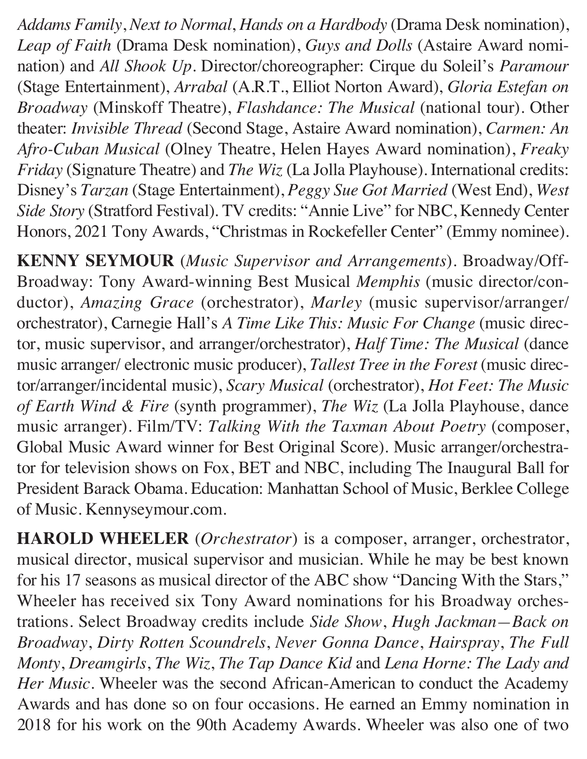*Addams Family*, *Next to Normal*, *Hands on a Hardbody* (Drama Desk nomination), *Leap of Faith* (Drama Desk nomination), *Guys and Dolls* (Astaire Award nomination) and *All Shook Up*. Director/choreographer: Cirque du Soleil's *Paramour*  (Stage Entertainment), *Arrabal* (A.R.T., Elliot Norton Award), *Gloria Estefan on Broadway* (Minskoff Theatre), *Flashdance: The Musical* (national tour). Other theater: *Invisible Thread* (Second Stage, Astaire Award nomination), *Carmen: An Afro-Cuban Musical* (Olney Theatre, Helen Hayes Award nomination), *Freaky Friday* (Signature Theatre) and *The Wiz* (La Jolla Playhouse). International credits: Disney's *Tarzan* (Stage Entertainment), *Peggy Sue Got Married* (West End), *West Side Story* (Stratford Festival). TV credits: "Annie Live" for NBC, Kennedy Center Honors, 2021 Tony Awards, "Christmas in Rockefeller Center" (Emmy nominee).

**KENNY SEYMOUR** (*Music Supervisor and Arrangements*). Broadway/Off-Broadway: Tony Award-winning Best Musical *Memphis* (music director/conductor), *Amazing Grace* (orchestrator), *Marley* (music supervisor/arranger/ orchestrator), Carnegie Hall's *A Time Like This: Music For Change* (music director, music supervisor, and arranger/orchestrator), *Half Time: The Musical* (dance music arranger/ electronic music producer), *Tallest Tree in the Forest* (music director/arranger/incidental music), *Scary Musical* (orchestrator), *Hot Feet: The Music of Earth Wind & Fire* (synth programmer), *The Wiz* (La Jolla Playhouse, dance music arranger). Film/TV: *Talking With the Taxman About Poetry* (composer, Global Music Award winner for Best Original Score). Music arranger/orchestrator for television shows on Fox, BET and NBC, including The Inaugural Ball for President Barack Obama. Education: Manhattan School of Music, Berklee College of Music. Kennyseymour.com.

**HAROLD WHEELER** (*Orchestrator*) is a composer, arranger, orchestrator, musical director, musical supervisor and musician. While he may be best known for his 17 seasons as musical director of the ABC show "Dancing With the Stars," Wheeler has received six Tony Award nominations for his Broadway orchestrations. Select Broadway credits include *Side Show*, *Hugh Jackman—Back on Broadway*, *Dirty Rotten Scoundrels*, *Never Gonna Dance*, *Hairspray*, *The Full Monty*, *Dreamgirls*, *The Wiz*, *The Tap Dance Kid* and *Lena Horne: The Lady and Her Music*. Wheeler was the second African-American to conduct the Academy Awards and has done so on four occasions. He earned an Emmy nomination in 2018 for his work on the 90th Academy Awards. Wheeler was also one of two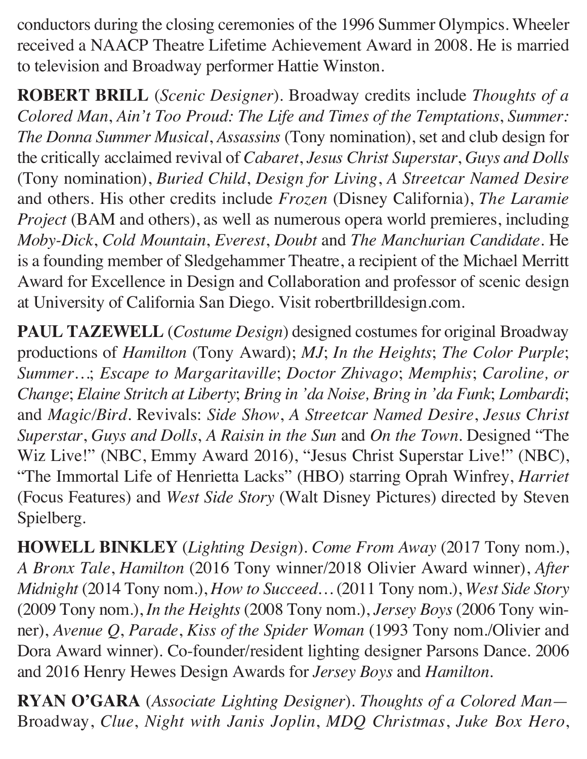conductors during the closing ceremonies of the 1996 Summer Olympics. Wheeler received a NAACP Theatre Lifetime Achievement Award in 2008. He is married to television and Broadway performer Hattie Winston.

**ROBERT BRILL** (*Scenic Designer*). Broadway credits include *Thoughts of a Colored Man*, *Ain't Too Proud: The Life and Times of the Temptations*, *Summer: The Donna Summer Musical*, *Assassins* (Tony nomination), set and club design for the critically acclaimed revival of *Cabaret*, *Jesus Christ Superstar*, *Guys and Dolls*  (Tony nomination), *Buried Child*, *Design for Living*, *A Streetcar Named Desire* and others. His other credits include *Frozen* (Disney California), *The Laramie Project* (BAM and others), as well as numerous opera world premieres, including *Moby-Dick*, *Cold Mountain*, *Everest*, *Doubt* and *The Manchurian Candidate*. He is a founding member of Sledgehammer Theatre, a recipient of the Michael Merritt Award for Excellence in Design and Collaboration and professor of scenic design at University of California San Diego. Visit robertbrilldesign.com.

**PAUL TAZEWELL** (*Costume Design*) designed costumes for original Broadway productions of *Hamilton* (Tony Award); *MJ*; *In the Heights*; *The Color Purple*; *Summer…*; *Escape to Margaritaville*; *Doctor Zhivago*; *Memphis*; *Caroline, or Change*; *Elaine Stritch at Liberty*; *Bring in 'da Noise, Bring in 'da Funk*; *Lombardi*; and *Magic/Bird*. Revivals: *Side Show*, *A Streetcar Named Desire*, *Jesus Christ Superstar*, *Guys and Dolls*, *A Raisin in the Sun* and *On the Town*. Designed "The Wiz Live!" (NBC, Emmy Award 2016), "Jesus Christ Superstar Live!" (NBC), "The Immortal Life of Henrietta Lacks" (HBO) starring Oprah Winfrey, *Harriet*  (Focus Features) and *West Side Story* (Walt Disney Pictures) directed by Steven Spielberg.

**HOWELL BINKLEY** (*Lighting Design*). *Come From Away* (2017 Tony nom.), *A Bronx Tale*, *Hamilton* (2016 Tony winner/2018 Olivier Award winner), *After Midnight* (2014 Tony nom.), *How to Succeed…* (2011 Tony nom.), *West Side Story*  (2009 Tony nom.), *In the Heights* (2008 Tony nom.), *Jersey Boys* (2006 Tony winner), *Avenue Q*, *Parade*, *Kiss of the Spider Woman* (1993 Tony nom./Olivier and Dora Award winner). Co-founder/resident lighting designer Parsons Dance. 2006 and 2016 Henry Hewes Design Awards for *Jersey Boys* and *Hamilton*.

**RYAN O'GARA** (*Associate Lighting Designer*). *Thoughts of a Colored Man*— Broadway, *Clue*, *Night with Janis Joplin*, *MDQ Christmas*, *Juke Box Hero*,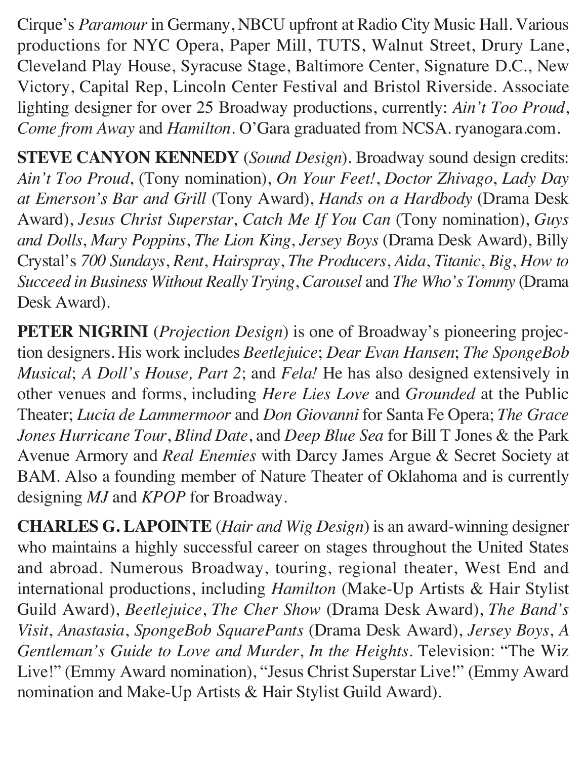Cirque's *Paramour* in Germany, NBCU upfront at Radio City Music Hall. Various productions for NYC Opera, Paper Mill, TUTS, Walnut Street, Drury Lane, Cleveland Play House, Syracuse Stage, Baltimore Center, Signature D.C., New Victory, Capital Rep, Lincoln Center Festival and Bristol Riverside. Associate lighting designer for over 25 Broadway productions, currently: *Ain't Too Proud*, *Come from Away* and *Hamilton*. O'Gara graduated from NCSA. ryanogara.com.

**STEVE CANYON KENNEDY** (*Sound Design*). Broadway sound design credits: *Ain't Too Proud*, (Tony nomination), *On Your Feet!*, *Doctor Zhivago*, *Lady Day at Emerson's Bar and Grill* (Tony Award), *Hands on a Hardbody* (Drama Desk Award), *Jesus Christ Superstar*, *Catch Me If You Can* (Tony nomination), *Guys and Dolls*, *Mary Poppins*, *The Lion King*, *Jersey Boys* (Drama Desk Award), Billy Crystal's *700 Sundays*, *Rent*, *Hairspray*, *The Producers*, *Aida*, *Titanic*, *Big*, *How to Succeed in Business Without Really Trying*, *Carousel* and *The Who's Tommy* (Drama Desk Award).

**PETER NIGRINI** (*Projection Design*) is one of Broadway's pioneering projection designers. His work includes *Beetlejuice*; *Dear Evan Hansen*; *The SpongeBob Musical*; *A Doll's House, Part 2*; and *Fela!* He has also designed extensively in other venues and forms, including *Here Lies Love* and *Grounded* at the Public Theater; *Lucia de Lammermoor* and *Don Giovanni* for Santa Fe Opera; *The Grace Jones Hurricane Tour*, *Blind Date*, and *Deep Blue Sea* for Bill T Jones & the Park Avenue Armory and *Real Enemies* with Darcy James Argue & Secret Society at BAM. Also a founding member of Nature Theater of Oklahoma and is currently designing *MJ* and *KPOP* for Broadway.

**CHARLES G. LAPOINTE** (*Hair and Wig Design*) is an award-winning designer who maintains a highly successful career on stages throughout the United States and abroad. Numerous Broadway, touring, regional theater, West End and international productions, including *Hamilton* (Make-Up Artists & Hair Stylist Guild Award), *Beetlejuice*, *The Cher Show* (Drama Desk Award), *The Band's Visit*, *Anastasia*, *SpongeBob SquarePants* (Drama Desk Award), *Jersey Boys*, *A Gentleman's Guide to Love and Murder*, *In the Heights*. Television: "The Wiz Live!" (Emmy Award nomination), "Jesus Christ Superstar Live!" (Emmy Award nomination and Make-Up Artists & Hair Stylist Guild Award).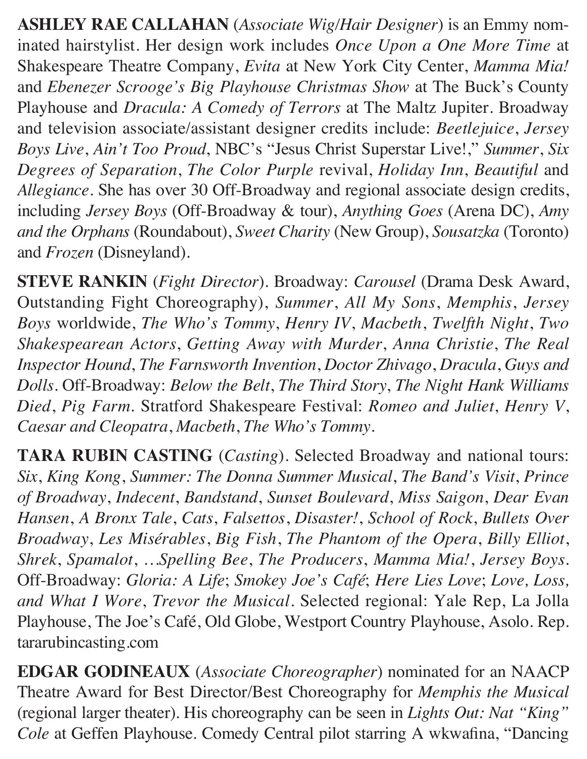**ASHLEY RAE CALLAHAN** (*Associate Wig/Hair Designer*) is an Emmy nominated hairstylist. Her design work includes *Once Upon a One More Time* at Shakespeare Theatre Company, *Evita* at New York City Center, *Mamma Mia!* and *Ebenezer Scrooge's Big Playhouse Christmas Show* at The Buck's County Playhouse and *Dracula: A Comedy of Terrors* at The Maltz Jupiter. Broadway and television associate/assistant designer credits include: *Beetlejuice*, *Jersey Boys Live*, *Ain't Too Proud*, NBC's "Jesus Christ Superstar Live!," *Summer*, *Six Degrees of Separation*, *The Color Purple* revival, *Holiday Inn*, *Beautiful* and *Allegiance*. She has over 30 Off-Broadway and regional associate design credits, including *Jersey Boys* (Off-Broadway & tour), *Anything Goes* (Arena DC), *Amy and the Orphans* (Roundabout), *Sweet Charity* (New Group), *Sousatzka* (Toronto) and *Frozen* (Disneyland).

**STEVE RANKIN** (*Fight Director*). Broadway: *Carousel* (Drama Desk Award, Outstanding Fight Choreography), *Summer*, *All My Sons*, *Memphis*, *Jersey Boys* worldwide, *The Who's Tommy*, *Henry IV*, *Macbeth*, *Twelfth Night*, *Two Shakespearean Actors*, *Getting Away with Murder*, *Anna Christie*, *The Real Inspector Hound*, *The Farnsworth Invention*, *Doctor Zhivago*, *Dracula*, *Guys and Dolls*. Off-Broadway: *Below the Belt*, *The Third Story*, *The Night Hank Williams Died*, *Pig Farm*. Stratford Shakespeare Festival: *Romeo and Juliet*, *Henry V*, *Caesar and Cleopatra*, *Macbeth*, *The Who's Tommy*.

**TARA RUBIN CASTING** (*Casting*). Selected Broadway and national tours: *Six*, *King Kong*, *Summer: The Donna Summer Musical*, *The Band's Visit*, *Prince of Broadway*, *Indecent*, *Bandstand*, *Sunset Boulevard*, *Miss Saigon*, *Dear Evan Hansen*, *A Bronx Tale*, *Cats*, *Falsettos*, *Disaster!*, *School of Rock*, *Bullets Over Broadway*, *Les Misérables*, *Big Fish*, *The Phantom of the Opera*, *Billy Elliot*, *Shrek*, *Spamalot*, *…Spelling Bee*, *The Producers*, *Mamma Mia!*, *Jersey Boys*. Off-Broadway: *Gloria: A Life*; *Smokey Joe's Café*; *Here Lies Love*; *Love, Loss, and What I Wore*, *Trevor the Musical*. Selected regional: Yale Rep, La Jolla Playhouse, The Joe's Café, Old Globe, Westport Country Playhouse, Asolo. Rep. tararubincasting.com

**EDGAR GODINEAUX** (*Associate Choreographer*) nominated for an NAACP Theatre Award for Best Director/Best Choreography for *Memphis the Musical*  (regional larger theater). His choreography can be seen in *Lights Out: Nat "King" Cole* at Geffen Playhouse. Comedy Central pilot starring A wkwafina, "Dancing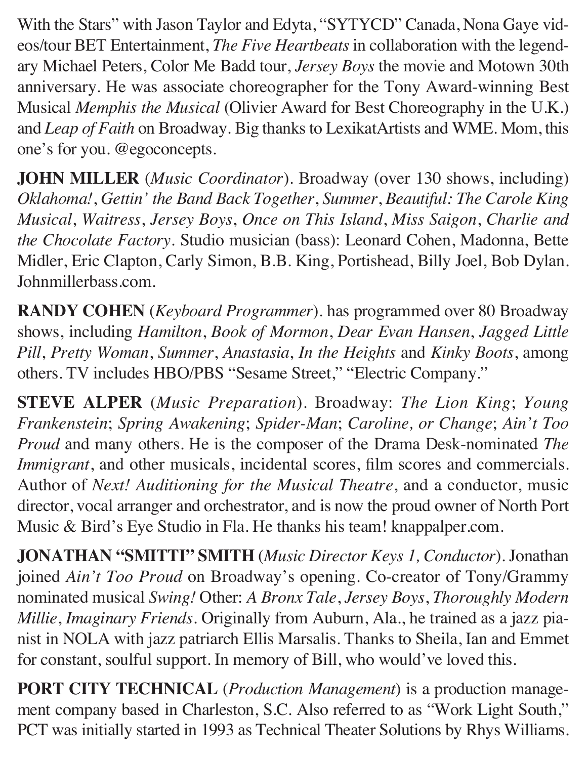With the Stars" with Jason Taylor and Edyta, "SYTYCD" Canada, Nona Gaye videos/tour BET Entertainment, *The Five Heartbeats* in collaboration with the legendary Michael Peters, Color Me Badd tour, *Jersey Boys* the movie and Motown 30th anniversary. He was associate choreographer for the Tony Award-winning Best Musical *Memphis the Musical* (Olivier Award for Best Choreography in the U.K.) and *Leap of Faith* on Broadway. Big thanks to LexikatArtists and WME. Mom, this one's for you. @egoconcepts.

**JOHN MILLER** (*Music Coordinator*). Broadway (over 130 shows, including) *Oklahoma!*, *Gettin' the Band Back Together*, *Summer*, *Beautiful: The Carole King Musical*, *Waitress*, *Jersey Boys*, *Once on This Island*, *Miss Saigon*, *Charlie and the Chocolate Factory*. Studio musician (bass): Leonard Cohen, Madonna, Bette Midler, Eric Clapton, Carly Simon, B.B. King, Portishead, Billy Joel, Bob Dylan. Johnmillerbass.com.

**RANDY COHEN** (*Keyboard Programmer*). has programmed over 80 Broadway shows, including *Hamilton*, *Book of Mormon*, *Dear Evan Hansen*, *Jagged Little Pill*, *Pretty Woman*, *Summer*, *Anastasia*, *In the Heights* and *Kinky Boots*, among others. TV includes HBO/PBS "Sesame Street," "Electric Company."

**STEVE ALPER** (*Music Preparation*). Broadway: *The Lion King*; *Young Frankenstein*; *Spring Awakening*; *Spider-Man*; *Caroline, or Change*; *Ain't Too Proud* and many others. He is the composer of the Drama Desk-nominated *The Immigrant*, and other musicals, incidental scores, film scores and commercials. Author of *Next! Auditioning for the Musical Theatre*, and a conductor, music director, vocal arranger and orchestrator, and is now the proud owner of North Port Music & Bird's Eye Studio in Fla. He thanks his team! knappalper.com.

**JONATHAN "SMITTI" SMITH** (*Music Director Keys 1, Conductor*). Jonathan joined *Ain't Too Proud* on Broadway's opening. Co-creator of Tony/Grammy nominated musical *Swing!* Other: *A Bronx Tale*, *Jersey Boys*, *Thoroughly Modern Millie*, *Imaginary Friends*. Originally from Auburn, Ala., he trained as a jazz pianist in NOLA with jazz patriarch Ellis Marsalis. Thanks to Sheila, Ian and Emmet for constant, soulful support. In memory of Bill, who would've loved this.

**PORT CITY TECHNICAL** (*Production Management*) is a production management company based in Charleston, S.C. Also referred to as "Work Light South," PCT was initially started in 1993 as Technical Theater Solutions by Rhys Williams.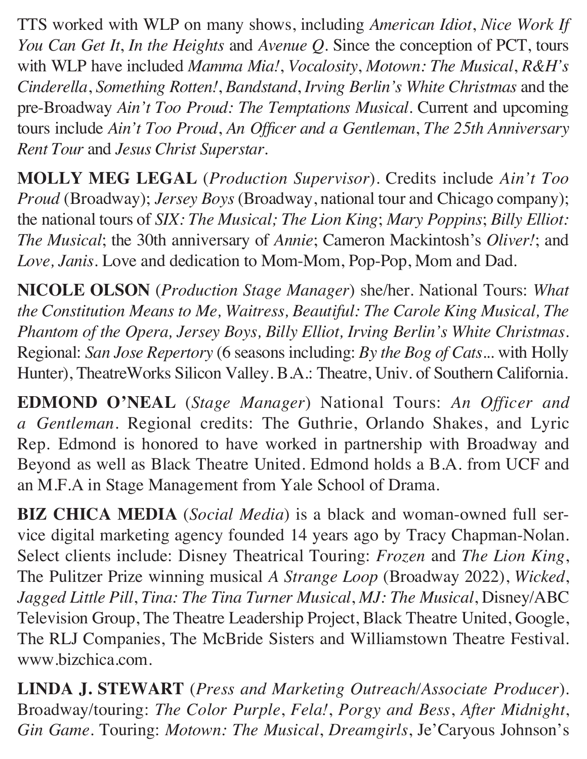TTS worked with WLP on many shows, including *American Idiot*, *Nice Work If You Can Get It*, *In the Heights* and *Avenue Q*. Since the conception of PCT, tours with WLP have included *Mamma Mia!*, *Vocalosity*, *Motown: The Musical*, *R&H's Cinderella*, *Something Rotten!*, *Bandstand*, *Irving Berlin's White Christmas* and the pre-Broadway *Ain't Too Proud: The Temptations Musical*. Current and upcoming tours include *Ain't Too Proud*, *An Officer and a Gentleman*, *The 25th Anniversary Rent Tour* and *Jesus Christ Superstar*.

**MOLLY MEG LEGAL** (*Production Supervisor*). Credits include *Ain't Too Proud (Broadway); Jersey Boys (Broadway, national tour and Chicago company);* the national tours of *SIX: The Musical; The Lion King*; *Mary Poppins*; *Billy Elliot: The Musical*; the 30th anniversary of *Annie*; Cameron Mackintosh's *Oliver!*; and *Love, Janis*. Love and dedication to Mom-Mom, Pop-Pop, Mom and Dad.

**NICOLE OLSON** (*Production Stage Manager*) she/her. National Tours: *What the Constitution Means to Me, Waitress, Beautiful: The Carole King Musical, The Phantom of the Opera, Jersey Boys, Billy Elliot, Irving Berlin's White Christmas*. Regional: *San Jose Repertory* (6 seasons including: *By the Bog of Cats*... with Holly Hunter), TheatreWorks Silicon Valley. B.A.: Theatre, Univ. of Southern California.

**EDMOND O'NEAL** (*Stage Manager*) National Tours: *An Officer and a Gentleman*. Regional credits: The Guthrie, Orlando Shakes, and Lyric Rep. Edmond is honored to have worked in partnership with Broadway and Beyond as well as Black Theatre United. Edmond holds a B.A. from UCF and an M.F.A in Stage Management from Yale School of Drama.

**BIZ CHICA MEDIA** (*Social Media*) is a black and woman-owned full service digital marketing agency founded 14 years ago by Tracy Chapman-Nolan. Select clients include: Disney Theatrical Touring: *Frozen* and *The Lion King*, The Pulitzer Prize winning musical *A Strange Loop* (Broadway 2022), *Wicked*, *Jagged Little Pill*, *Tina: The Tina Turner Musical*, *MJ: The Musical*, Disney/ABC Television Group, The Theatre Leadership Project, Black Theatre United, Google, The RLJ Companies, The McBride Sisters and Williamstown Theatre Festival. www.bizchica.com.

**LINDA J. STEWART** (*Press and Marketing Outreach/Associate Producer*). Broadway/touring: *The Color Purple*, *Fela!*, *Porgy and Bess*, *After Midnight*, *Gin Game*. Touring: *Motown: The Musical*, *Dreamgirls*, Je'Caryous Johnson's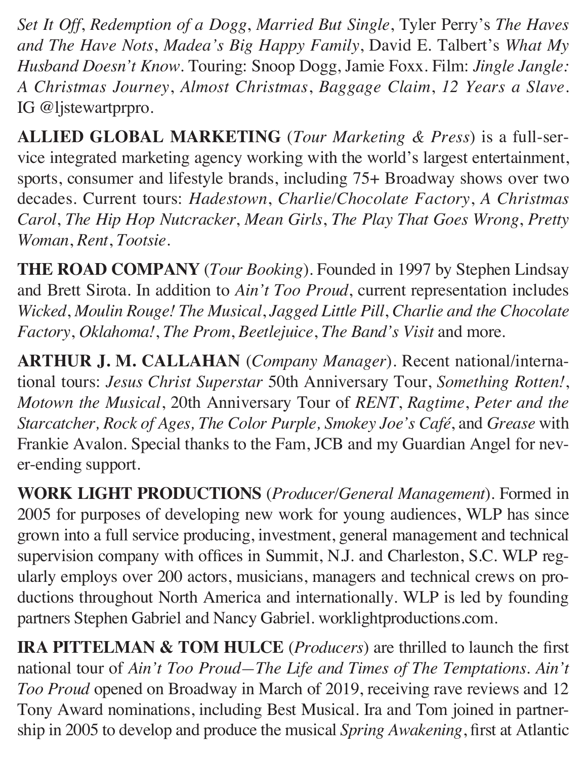*Set It Off*, *Redemption of a Dogg*, *Married But Single*, Tyler Perry's *The Haves and The Have Nots*, *Madea's Big Happy Family*, David E. Talbert's *What My Husband Doesn't Know*. Touring: Snoop Dogg, Jamie Foxx. Film: *Jingle Jangle: A Christmas Journey*, *Almost Christmas*, *Baggage Claim*, *12 Years a Slave*. IG @ljstewartprpro.

**ALLIED GLOBAL MARKETING** (*Tour Marketing & Press*) is a full-service integrated marketing agency working with the world's largest entertainment, sports, consumer and lifestyle brands, including 75+ Broadway shows over two decades. Current tours: *Hadestown*, *Charlie/Chocolate Factory*, *A Christmas Carol*, *The Hip Hop Nutcracker*, *Mean Girls*, *The Play That Goes Wrong*, *Pretty Woman*, *Rent*, *Tootsie*.

**THE ROAD COMPANY** (*Tour Booking*). Founded in 1997 by Stephen Lindsay and Brett Sirota. In addition to *Ain't Too Proud*, current representation includes *Wicked*, *Moulin Rouge! The Musical*, *Jagged Little Pill*, *Charlie and the Chocolate Factory*, *Oklahoma!*, *The Prom*, *Beetlejuice*, *The Band's Visit* and more.

**ARTHUR J. M. CALLAHAN** (*Company Manager*). Recent national/international tours: *Jesus Christ Superstar* 50th Anniversary Tour, *Something Rotten!*, *Motown the Musical*, 20th Anniversary Tour of *RENT*, *Ragtime*, *Peter and the Starcatcher, Rock of Ages, The Color Purple, Smokey Joe's Café*, and *Grease* with Frankie Avalon. Special thanks to the Fam, JCB and my Guardian Angel for never-ending support.

**WORK LIGHT PRODUCTIONS** (*Producer/General Management*). Formed in 2005 for purposes of developing new work for young audiences, WLP has since grown into a full service producing, investment, general management and technical supervision company with offices in Summit, N.J. and Charleston, S.C. WLP regularly employs over 200 actors, musicians, managers and technical crews on productions throughout North America and internationally. WLP is led by founding partners Stephen Gabriel and Nancy Gabriel. worklightproductions.com.

**IRA PITTELMAN & TOM HULCE** (*Producers*) are thrilled to launch the first national tour of *Ain't Too Proud—The Life and Times of The Temptations*. *Ain't Too Proud* opened on Broadway in March of 2019, receiving rave reviews and 12 Tony Award nominations, including Best Musical. Ira and Tom joined in partnership in 2005 to develop and produce the musical *Spring Awakening*, first at Atlantic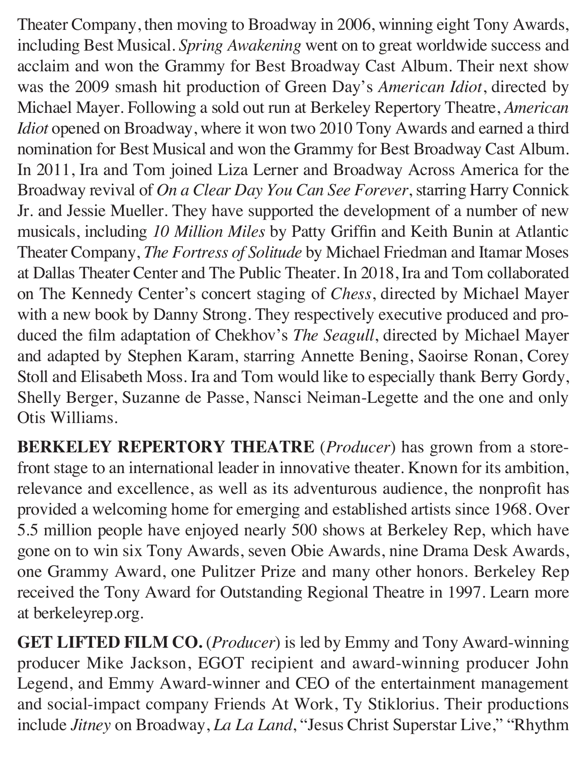Theater Company, then moving to Broadway in 2006, winning eight Tony Awards, including Best Musical. *Spring Awakening* went on to great worldwide success and acclaim and won the Grammy for Best Broadway Cast Album. Their next show was the 2009 smash hit production of Green Day's *American Idiot*, directed by Michael Mayer. Following a sold out run at Berkeley Repertory Theatre, *American Idiot* opened on Broadway, where it won two 2010 Tony Awards and earned a third nomination for Best Musical and won the Grammy for Best Broadway Cast Album. In 2011, Ira and Tom joined Liza Lerner and Broadway Across America for the Broadway revival of *On a Clear Day You Can See Forever*, starring Harry Connick Jr. and Jessie Mueller. They have supported the development of a number of new musicals, including *10 Million Miles* by Patty Griffin and Keith Bunin at Atlantic Theater Company, *The Fortress of Solitude* by Michael Friedman and Itamar Moses at Dallas Theater Center and The Public Theater. In 2018, Ira and Tom collaborated on The Kennedy Center's concert staging of *Chess*, directed by Michael Mayer with a new book by Danny Strong. They respectively executive produced and produced the film adaptation of Chekhov's *The Seagull*, directed by Michael Mayer and adapted by Stephen Karam, starring Annette Bening, Saoirse Ronan, Corey Stoll and Elisabeth Moss. Ira and Tom would like to especially thank Berry Gordy, Shelly Berger, Suzanne de Passe, Nansci Neiman-Legette and the one and only Otis Williams.

**BERKELEY REPERTORY THEATRE** (*Producer*) has grown from a storefront stage to an international leader in innovative theater. Known for its ambition, relevance and excellence, as well as its adventurous audience, the nonprofit has provided a welcoming home for emerging and established artists since 1968. Over 5.5 million people have enjoyed nearly 500 shows at Berkeley Rep, which have gone on to win six Tony Awards, seven Obie Awards, nine Drama Desk Awards, one Grammy Award, one Pulitzer Prize and many other honors. Berkeley Rep received the Tony Award for Outstanding Regional Theatre in 1997. Learn more at berkeleyrep.org.

**GET LIFTED FILM CO.** (*Producer*) is led by Emmy and Tony Award-winning producer Mike Jackson, EGOT recipient and award-winning producer John Legend, and Emmy Award-winner and CEO of the entertainment management and social-impact company Friends At Work, Ty Stiklorius. Their productions include *Jitney* on Broadway, *La La Land*, "Jesus Christ Superstar Live," "Rhythm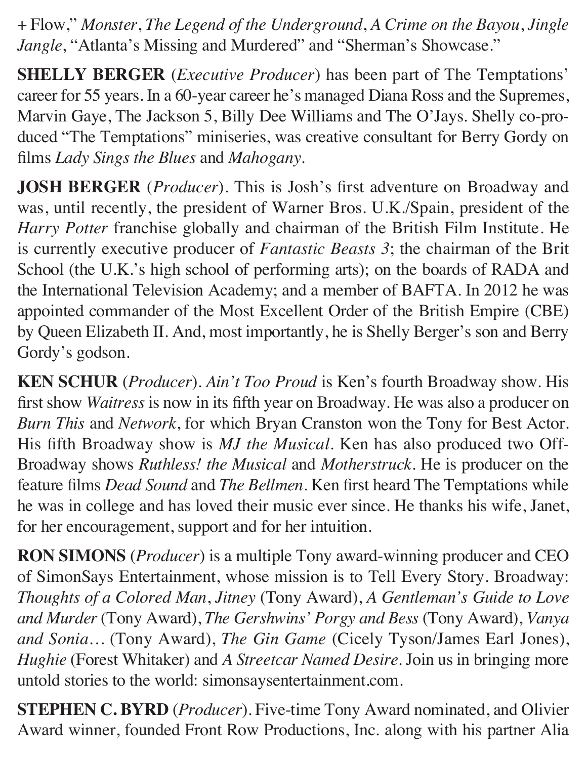+ Flow," *Monster*, *The Legend of the Underground*, *A Crime on the Bayou*, *Jingle Jangle*, "Atlanta's Missing and Murdered" and "Sherman's Showcase."

**SHELLY BERGER** (*Executive Producer*) has been part of The Temptations' career for 55 years. In a 60-year career he's managed Diana Ross and the Supremes, Marvin Gaye, The Jackson 5, Billy Dee Williams and The O'Jays. Shelly co-produced "The Temptations" miniseries, was creative consultant for Berry Gordy on films *Lady Sings the Blues* and *Mahogany*.

**JOSH BERGER** (*Producer*). This is Josh's first adventure on Broadway and was, until recently, the president of Warner Bros. U.K./Spain, president of the *Harry Potter* franchise globally and chairman of the British Film Institute. He is currently executive producer of *Fantastic Beasts 3*; the chairman of the Brit School (the U.K.'s high school of performing arts); on the boards of RADA and the International Television Academy; and a member of BAFTA. In 2012 he was appointed commander of the Most Excellent Order of the British Empire (CBE) by Queen Elizabeth II. And, most importantly, he is Shelly Berger's son and Berry Gordy's godson.

**KEN SCHUR** (*Producer*). *Ain't Too Proud* is Ken's fourth Broadway show. His first show *Waitress* is now in its fifth year on Broadway. He was also a producer on *Burn This* and *Network*, for which Bryan Cranston won the Tony for Best Actor. His fifth Broadway show is *MJ the Musical*. Ken has also produced two Off-Broadway shows *Ruthless! the Musical* and *Motherstruck*. He is producer on the feature films *Dead Sound* and *The Bellmen*. Ken first heard The Temptations while he was in college and has loved their music ever since. He thanks his wife, Janet, for her encouragement, support and for her intuition.

**RON SIMONS** (*Producer*) is a multiple Tony award-winning producer and CEO of SimonSays Entertainment, whose mission is to Tell Every Story. Broadway: *Thoughts of a Colored Man*, *Jitney* (Tony Award), *A Gentleman's Guide to Love and Murder* (Tony Award), *The Gershwins' Porgy and Bess* (Tony Award), *Vanya and Sonia…* (Tony Award), *The Gin Game* (Cicely Tyson/James Earl Jones), *Hughie* (Forest Whitaker) and *A Streetcar Named Desire*. Join us in bringing more untold stories to the world: simonsaysentertainment.com.

**STEPHEN C. BYRD** (*Producer*). Five-time Tony Award nominated, and Olivier Award winner, founded Front Row Productions, Inc. along with his partner Alia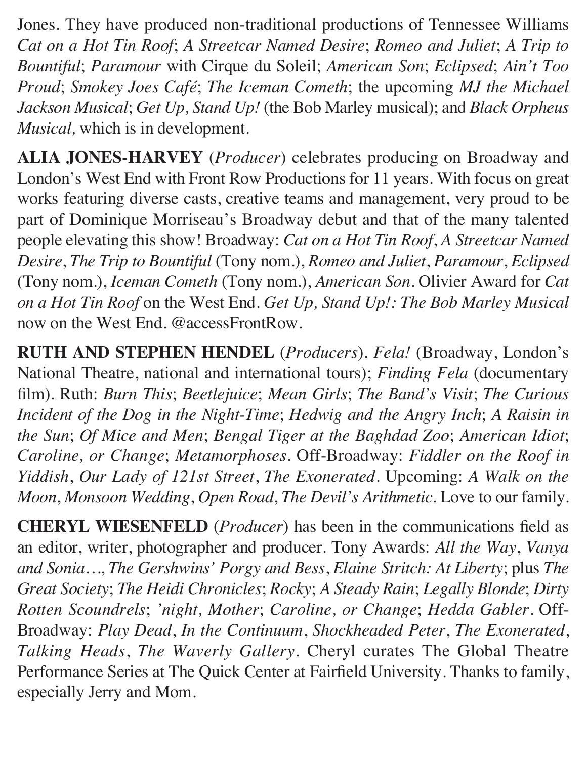Jones. They have produced non-traditional productions of Tennessee Williams *Cat on a Hot Tin Roof*; *A Streetcar Named Desire*; *Romeo and Juliet*; *A Trip to Bountiful*; *Paramour* with Cirque du Soleil; *American Son*; *Eclipsed*; *Ain't Too Proud*; *Smokey Joes Café*; *The Iceman Cometh*; the upcoming *MJ the Michael Jackson Musical*; *Get Up, Stand Up!* (the Bob Marley musical); and *Black Orpheus Musical,* which is in development.

**ALIA JONES-HARVEY** (*Producer*) celebrates producing on Broadway and London's West End with Front Row Productions for 11 years. With focus on great works featuring diverse casts, creative teams and management, very proud to be part of Dominique Morriseau's Broadway debut and that of the many talented people elevating this show! Broadway: *Cat on a Hot Tin Roof*, *A Streetcar Named Desire*, *The Trip to Bountiful* (Tony nom.), *Romeo and Juliet*, *Paramour*, *Eclipsed*  (Tony nom.), *Iceman Cometh* (Tony nom.), *American Son*. Olivier Award for *Cat on a Hot Tin Roof* on the West End. *Get Up, Stand Up!: The Bob Marley Musical*  now on the West End. @accessFrontRow.

**RUTH AND STEPHEN HENDEL** (*Producers*). *Fela!* (Broadway, London's National Theatre, national and international tours); *Finding Fela* (documentary film). Ruth: *Burn This*; *Beetlejuice*; *Mean Girls*; *The Band's Visit*; *The Curious Incident of the Dog in the Night-Time*; *Hedwig and the Angry Inch*; *A Raisin in the Sun*; *Of Mice and Men*; *Bengal Tiger at the Baghdad Zoo*; *American Idiot*; *Caroline, or Change*; *Metamorphoses*. Off-Broadway: *Fiddler on the Roof in Yiddish*, *Our Lady of 121st Street*, *The Exonerated*. Upcoming: *A Walk on the Moon*, *Monsoon Wedding*, *Open Road*, *The Devil's Arithmetic*. Love to our family.

**CHERYL WIESENFELD** (*Producer*) has been in the communications field as an editor, writer, photographer and producer. Tony Awards: *All the Way*, *Vanya and Sonia…*, *The Gershwins' Porgy and Bess*, *Elaine Stritch: At Liberty*; plus *The Great Society*; *The Heidi Chronicles*; *Rocky*; *A Steady Rain*; *Legally Blonde*; *Dirty Rotten Scoundrels*; *'night, Mother*; *Caroline, or Change*; *Hedda Gabler*. Off-Broadway: *Play Dead*, *In the Continuum*, *Shockheaded Peter*, *The Exonerated*, *Talking Heads*, *The Waverly Gallery*. Cheryl curates The Global Theatre Performance Series at The Quick Center at Fairfield University. Thanks to family, especially Jerry and Mom.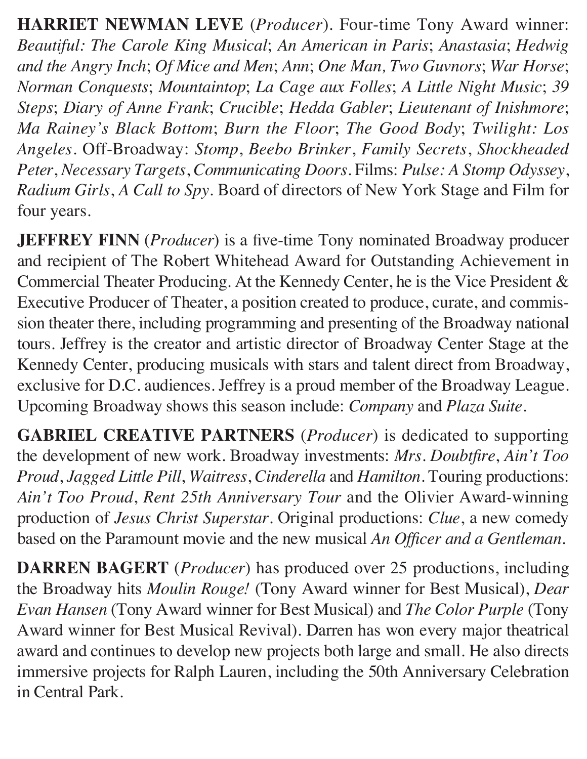**HARRIET NEWMAN LEVE** (*Producer*). Four-time Tony Award winner: *Beautiful: The Carole King Musical*; *An American in Paris*; *Anastasia*; *Hedwig and the Angry Inch*; *Of Mice and Men*; *Ann*; *One Man, Two Guvnors*; *War Horse*; *Norman Conquests*; *Mountaintop*; *La Cage aux Folles*; *A Little Night Music*; *39 Steps*; *Diary of Anne Frank*; *Crucible*; *Hedda Gabler*; *Lieutenant of Inishmore*; *Ma Rainey's Black Bottom*; *Burn the Floor*; *The Good Body*; *Twilight: Los Angeles*. Off-Broadway: *Stomp*, *Beebo Brinker*, *Family Secrets*, *Shockheaded Peter*, *Necessary Targets*, *Communicating Doors*. Films: *Pulse: A Stomp Odyssey*, *Radium Girls*, *A Call to Spy*. Board of directors of New York Stage and Film for four years.

**JEFFREY FINN** (*Producer*) is a five-time Tony nominated Broadway producer and recipient of The Robert Whitehead Award for Outstanding Achievement in Commercial Theater Producing. At the Kennedy Center, he is the Vice President & Executive Producer of Theater, a position created to produce, curate, and commission theater there, including programming and presenting of the Broadway national tours. Jeffrey is the creator and artistic director of Broadway Center Stage at the Kennedy Center, producing musicals with stars and talent direct from Broadway, exclusive for D.C. audiences. Jeffrey is a proud member of the Broadway League. Upcoming Broadway shows this season include: *Company* and *Plaza Suite*.

**GABRIEL CREATIVE PARTNERS** (*Producer*) is dedicated to supporting the development of new work. Broadway investments: *Mrs. Doubtfire*, *Ain't Too Proud*, *Jagged Little Pill*, *Waitress*, *Cinderella* and *Hamilton*. Touring productions: *Ain't Too Proud*, *Rent 25th Anniversary Tour* and the Olivier Award-winning production of *Jesus Christ Superstar*. Original productions: *Clue*, a new comedy based on the Paramount movie and the new musical *An Officer and a Gentleman*.

**DARREN BAGERT** (*Producer*) has produced over 25 productions, including the Broadway hits *Moulin Rouge!* (Tony Award winner for Best Musical), *Dear Evan Hansen* (Tony Award winner for Best Musical) and *The Color Purple* (Tony Award winner for Best Musical Revival). Darren has won every major theatrical award and continues to develop new projects both large and small. He also directs immersive projects for Ralph Lauren, including the 50th Anniversary Celebration in Central Park.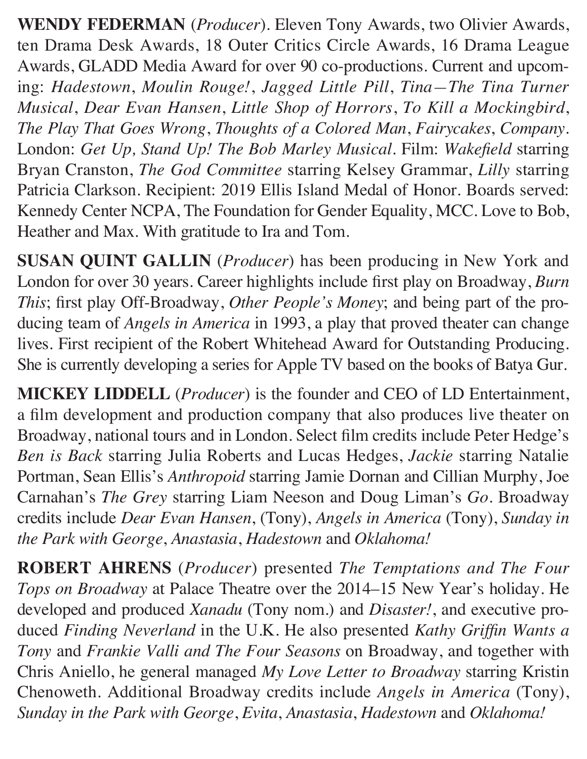**WENDY FEDERMAN** (*Producer*). Eleven Tony Awards, two Olivier Awards, ten Drama Desk Awards, 18 Outer Critics Circle Awards, 16 Drama League Awards, GLADD Media Award for over 90 co-productions. Current and upcoming: *Hadestown*, *Moulin Rouge!*, *Jagged Little Pill*, *Tina—The Tina Turner Musical*, *Dear Evan Hansen*, *Little Shop of Horrors*, *To Kill a Mockingbird*, *The Play That Goes Wrong*, *Thoughts of a Colored Man*, *Fairycakes*, *Company*. London: *Get Up, Stand Up! The Bob Marley Musical*. Film: *Wakefield* starring Bryan Cranston, *The God Committee* starring Kelsey Grammar, *Lilly* starring Patricia Clarkson. Recipient: 2019 Ellis Island Medal of Honor. Boards served: Kennedy Center NCPA, The Foundation for Gender Equality, MCC. Love to Bob, Heather and Max. With gratitude to Ira and Tom.

**SUSAN QUINT GALLIN** (*Producer*) has been producing in New York and London for over 30 years. Career highlights include first play on Broadway, *Burn This*; first play Off-Broadway, *Other People's Money*; and being part of the producing team of *Angels in America* in 1993, a play that proved theater can change lives. First recipient of the Robert Whitehead Award for Outstanding Producing. She is currently developing a series for Apple TV based on the books of Batya Gur.

**MICKEY LIDDELL** (*Producer*) is the founder and CEO of LD Entertainment, a film development and production company that also produces live theater on Broadway, national tours and in London. Select film credits include Peter Hedge's *Ben is Back* starring Julia Roberts and Lucas Hedges, *Jackie* starring Natalie Portman, Sean Ellis's *Anthropoid* starring Jamie Dornan and Cillian Murphy, Joe Carnahan's *The Grey* starring Liam Neeson and Doug Liman's *Go*. Broadway credits include *Dear Evan Hansen*, (Tony), *Angels in America* (Tony), *Sunday in the Park with George*, *Anastasia*, *Hadestown* and *Oklahoma!*

**ROBERT AHRENS** (*Producer*) presented *The Temptations and The Four Tops on Broadway* at Palace Theatre over the 2014–15 New Year's holiday. He developed and produced *Xanadu* (Tony nom.) and *Disaster!*, and executive produced *Finding Neverland* in the U.K. He also presented *Kathy Griffin Wants a Tony* and *Frankie Valli and The Four Seasons* on Broadway, and together with Chris Aniello, he general managed *My Love Letter to Broadway* starring Kristin Chenoweth. Additional Broadway credits include *Angels in America* (Tony), *Sunday in the Park with George*, *Evita*, *Anastasia*, *Hadestown* and *Oklahoma!*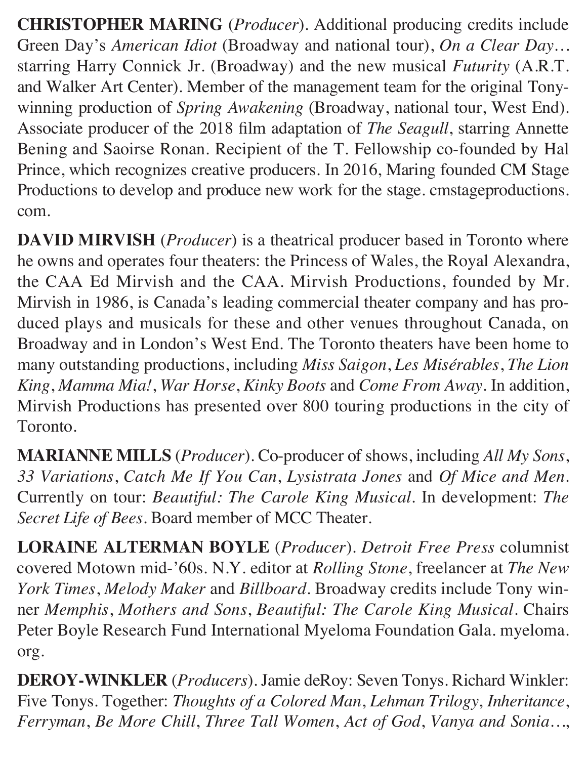**CHRISTOPHER MARING** (*Producer*). Additional producing credits include Green Day's *American Idiot* (Broadway and national tour), *On a Clear Day…* starring Harry Connick Jr. (Broadway) and the new musical *Futurity* (A.R.T. and Walker Art Center). Member of the management team for the original Tonywinning production of *Spring Awakening* (Broadway, national tour, West End). Associate producer of the 2018 film adaptation of *The Seagull*, starring Annette Bening and Saoirse Ronan. Recipient of the T. Fellowship co-founded by Hal Prince, which recognizes creative producers. In 2016, Maring founded CM Stage Productions to develop and produce new work for the stage. cmstageproductions. com.

**DAVID MIRVISH** (*Producer*) is a theatrical producer based in Toronto where he owns and operates four theaters: the Princess of Wales, the Royal Alexandra, the CAA Ed Mirvish and the CAA. Mirvish Productions, founded by Mr. Mirvish in 1986, is Canada's leading commercial theater company and has produced plays and musicals for these and other venues throughout Canada, on Broadway and in London's West End. The Toronto theaters have been home to many outstanding productions, including *Miss Saigon*, *Les Misérables*, *The Lion King*, *Mamma Mia!*, *War Horse*, *Kinky Boots* and *Come From Away*. In addition, Mirvish Productions has presented over 800 touring productions in the city of Toronto.

**MARIANNE MILLS** (*Producer*). Co-producer of shows, including *All My Sons*, *33 Variations*, *Catch Me If You Can*, *Lysistrata Jones* and *Of Mice and Men*. Currently on tour: *Beautiful: The Carole King Musical*. In development: *The Secret Life of Bees*. Board member of MCC Theater.

**LORAINE ALTERMAN BOYLE** (*Producer*). *Detroit Free Press* columnist covered Motown mid-'60s. N.Y. editor at *Rolling Stone*, freelancer at *The New York Times*, *Melody Maker* and *Billboard*. Broadway credits include Tony winner *Memphis*, *Mothers and Sons*, *Beautiful: The Carole King Musical*. Chairs Peter Boyle Research Fund International Myeloma Foundation Gala. myeloma. org.

**DEROY-WINKLER** (*Producers*). Jamie deRoy: Seven Tonys. Richard Winkler: Five Tonys. Together: *Thoughts of a Colored Man*, *Lehman Trilogy*, *Inheritance*, *Ferryman*, *Be More Chill*, *Three Tall Women*, *Act of God*, *Vanya and Sonia…*,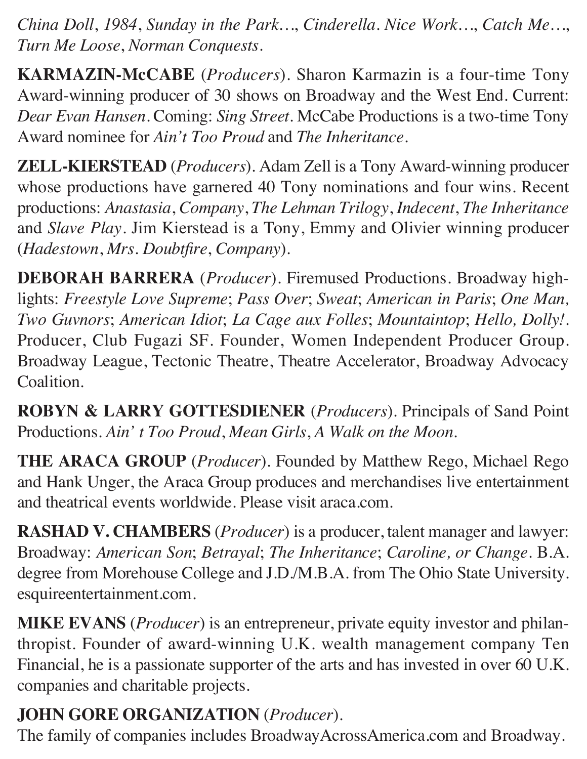*China Doll*, *1984*, *Sunday in the Park…*, *Cinderella*. *Nice Work…*, *Catch Me…*, *Turn Me Loose*, *Norman Conquests*.

**KARMAZIN-McCABE** (*Producers*). Sharon Karmazin is a four-time Tony Award-winning producer of 30 shows on Broadway and the West End. Current: *Dear Evan Hansen*. Coming: *Sing Street*. McCabe Productions is a two-time Tony Award nominee for *Ain't Too Proud* and *The Inheritance*.

**ZELL-KIERSTEAD** (*Producers*). Adam Zell is a Tony Award-winning producer whose productions have garnered 40 Tony nominations and four wins. Recent productions: *Anastasia*, *Company*, *The Lehman Trilogy*, *Indecent*, *The Inheritance*  and *Slave Play*. Jim Kierstead is a Tony, Emmy and Olivier winning producer (*Hadestown*, *Mrs. Doubtfire*, *Company*).

**DEBORAH BARRERA** (*Producer*). Firemused Productions. Broadway highlights: *Freestyle Love Supreme*; *Pass Over*; *Sweat*; *American in Paris*; *One Man, Two Guvnors*; *American Idiot*; *La Cage aux Folles*; *Mountaintop*; *Hello, Dolly!*. Producer, Club Fugazi SF. Founder, Women Independent Producer Group. Broadway League, Tectonic Theatre, Theatre Accelerator, Broadway Advocacy Coalition.

**ROBYN & LARRY GOTTESDIENER** (*Producers*). Principals of Sand Point Productions. *Ain' t Too Proud*, *Mean Girls*, *A Walk on the Moon*.

**THE ARACA GROUP** (*Producer*). Founded by Matthew Rego, Michael Rego and Hank Unger, the Araca Group produces and merchandises live entertainment and theatrical events worldwide. Please visit araca.com.

**RASHAD V. CHAMBERS** (*Producer*) is a producer, talent manager and lawyer: Broadway: *American Son*; *Betrayal*; *The Inheritance*; *Caroline, or Change*. B.A. degree from Morehouse College and J.D./M.B.A. from The Ohio State University. esquireentertainment.com.

**MIKE EVANS** (*Producer*) is an entrepreneur, private equity investor and philanthropist. Founder of award-winning U.K. wealth management company Ten Financial, he is a passionate supporter of the arts and has invested in over 60 U.K. companies and charitable projects.

# **JOHN GORE ORGANIZATION** (*Producer*).

The family of companies includes BroadwayAcrossAmerica.com and Broadway.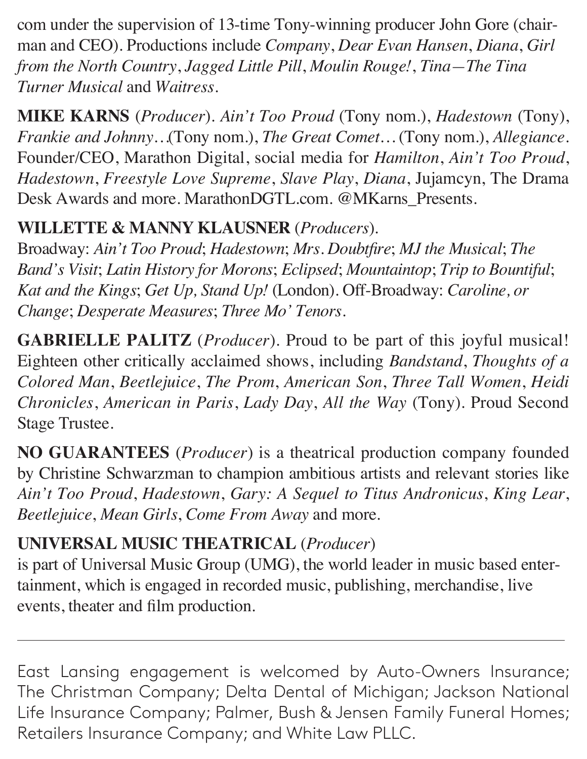com under the supervision of 13-time Tony-winning producer John Gore (chairman and CEO). Productions include *Company*, *Dear Evan Hansen*, *Diana*, *Girl from the North Country*, *Jagged Little Pill*, *Moulin Rouge!*, *Tina—The Tina Turner Musical* and *Waitress*.

**MIKE KARNS** (*Producer*). *Ain't Too Proud* (Tony nom.), *Hadestown* (Tony), *Frankie and Johnny…*(Tony nom.), *The Great Comet…* (Tony nom.), *Allegiance*. Founder/CEO, Marathon Digital, social media for *Hamilton*, *Ain't Too Proud*, *Hadestown*, *Freestyle Love Supreme*, *Slave Play*, *Diana*, Jujamcyn, The Drama Desk Awards and more. MarathonDGTL.com. @MKarns\_Presents.

## **WILLETTE & MANNY KLAUSNER** (*Producers*).

Broadway: *Ain't Too Proud*; *Hadestown*; *Mrs. Doubtfire*; *MJ the Musical*; *The Band's Visit*; *Latin History for Morons*; *Eclipsed*; *Mountaintop*; *Trip to Bountiful*; *Kat and the Kings*; *Get Up, Stand Up!* (London). Off-Broadway: *Caroline, or Change*; *Desperate Measures*; *Three Mo' Tenors*.

**GABRIELLE PALITZ** (*Producer*). Proud to be part of this joyful musical! Eighteen other critically acclaimed shows, including *Bandstand*, *Thoughts of a Colored Man*, *Beetlejuice*, *The Prom*, *American Son*, *Three Tall Women*, *Heidi Chronicles*, *American in Paris*, *Lady Day*, *All the Way* (Tony). Proud Second Stage Trustee.

**NO GUARANTEES** (*Producer*) is a theatrical production company founded by Christine Schwarzman to champion ambitious artists and relevant stories like *Ain't Too Proud*, *Hadestown*, *Gary: A Sequel to Titus Andronicus*, *King Lear*, *Beetlejuice*, *Mean Girls*, *Come From Away* and more.

# **UNIVERSAL MUSIC THEATRICAL** (*Producer*)

is part of Universal Music Group (UMG), the world leader in music based entertainment, which is engaged in recorded music, publishing, merchandise, live events, theater and film production.

East Lansing engagement is welcomed by Auto-Owners Insurance; The Christman Company; Delta Dental of Michigan; Jackson National Life Insurance Company; Palmer, Bush & Jensen Family Funeral Homes; Retailers Insurance Company; and White Law PLLC.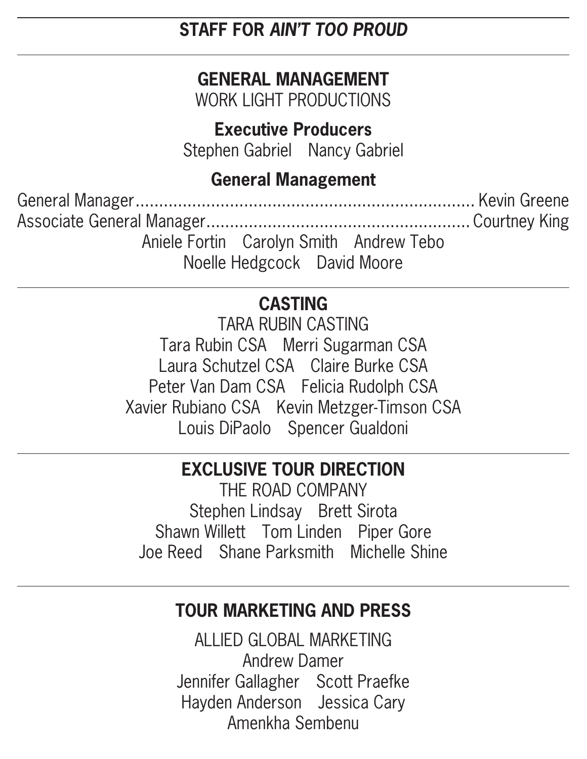## **STAFF FOR AIN'T TOO PROUD**

# **GENERAL MANAGEMENT**

WORK LIGHT PRODUCTIONS

## **Executive Producers**

Stephen Gabriel Nancy Gabriel

# **General Management**

Aniele Fortin Carolyn Smith Andrew Tebo Noelle Hedgcock David Moore

# **CASTING**

**TARA RUBIN CASTING** Tara Rubin CSA Merri Sugarman CSA Laura Schutzel CSA Claire Burke CSA Peter Van Dam CSA Felicia Rudolph CSA Xavier Rubiano CSA Kevin Metzger-Timson CSA Louis DiPaolo Spencer Gualdoni

# **EXCLUSIVE TOUR DIRECTION**

THE ROAD COMPANY Stephen Lindsay Brett Sirota Shawn Willett Tom Linden Piper Gore Joe Reed Shane Parksmith Michelle Shine

# **TOUR MARKETING AND PRESS**

ALLIED GLOBAL MARKETING **Andrew Damer** Jennifer Gallagher Scott Praefke Hayden Anderson Jessica Cary Amenkha Sembenu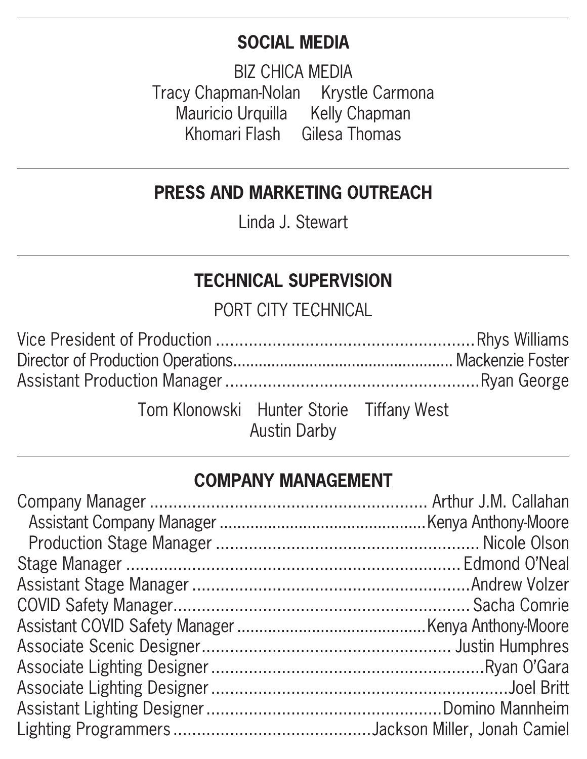## **SOCIAL MEDIA**

**BIZ CHICA MEDIA** Tracy Chapman-Nolan Krystle Carmona Mauricio Urquilla Kelly Chapman Khomari Flash Gilesa Thomas

# **PRESS AND MARKETING OUTREACH**

Linda J. Stewart

# **TECHNICAL SUPERVISION**

PORT CITY TECHNICAL

| Tom Klonowski Hunter Storie Tiffany West | <b>Austin Darby</b> |  |
|------------------------------------------|---------------------|--|

### **COMPANY MANAGEMENT**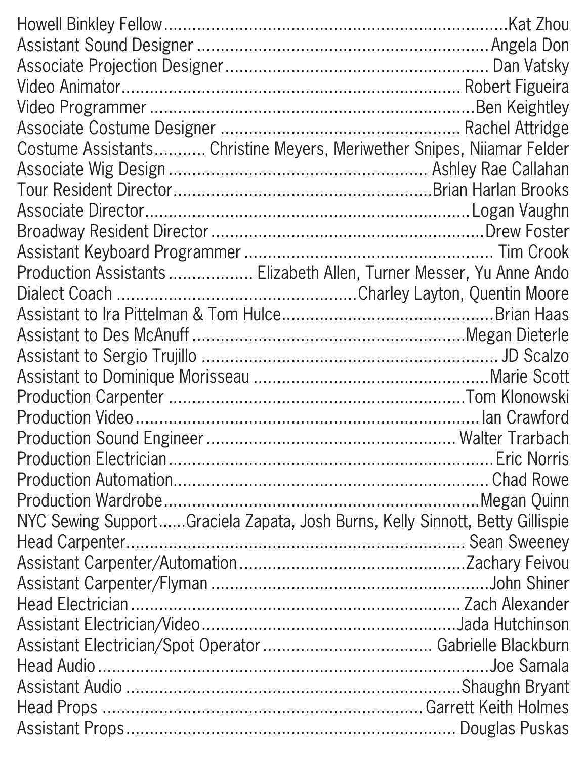| Costume Assistants Christine Meyers, Meriwether Snipes, Niiamar Felder        |  |
|-------------------------------------------------------------------------------|--|
|                                                                               |  |
|                                                                               |  |
|                                                                               |  |
|                                                                               |  |
|                                                                               |  |
| Production Assistants  Elizabeth Allen, Turner Messer, Yu Anne Ando           |  |
|                                                                               |  |
|                                                                               |  |
|                                                                               |  |
|                                                                               |  |
|                                                                               |  |
|                                                                               |  |
|                                                                               |  |
|                                                                               |  |
|                                                                               |  |
|                                                                               |  |
|                                                                               |  |
| NYC Sewing SupportGraciela Zapata, Josh Burns, Kelly Sinnott, Betty Gillispie |  |
|                                                                               |  |
|                                                                               |  |
|                                                                               |  |
|                                                                               |  |
|                                                                               |  |
|                                                                               |  |
|                                                                               |  |
|                                                                               |  |
|                                                                               |  |
|                                                                               |  |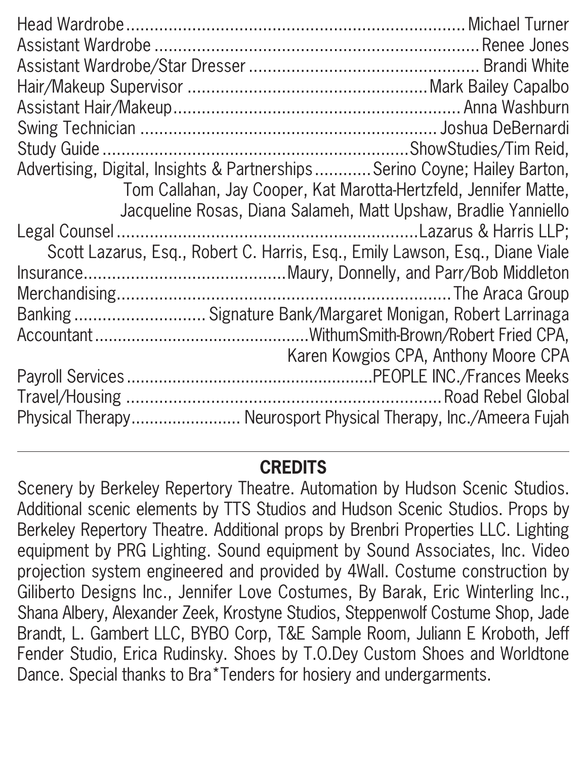| Advertising, Digital, Insights & PartnershipsSerino Coyne; Hailey Barton,    |                                                                  |
|------------------------------------------------------------------------------|------------------------------------------------------------------|
|                                                                              | Tom Callahan, Jay Cooper, Kat Marotta-Hertzfeld, Jennifer Matte, |
|                                                                              | Jacqueline Rosas, Diana Salameh, Matt Upshaw, Bradlie Yanniello  |
|                                                                              |                                                                  |
| Scott Lazarus, Esq., Robert C. Harris, Esq., Emily Lawson, Esq., Diane Viale |                                                                  |
|                                                                              |                                                                  |
|                                                                              |                                                                  |
| Banking  Signature Bank/Margaret Monigan, Robert Larrinaga                   |                                                                  |
|                                                                              |                                                                  |
|                                                                              | Karen Kowgios CPA, Anthony Moore CPA                             |
|                                                                              |                                                                  |
|                                                                              |                                                                  |
| Physical Therapy Neurosport Physical Therapy, Inc./Ameera Fujah              |                                                                  |

# **CREDITS**

Scenery by Berkeley Repertory Theatre. Automation by Hudson Scenic Studios. Additional scenic elements by TTS Studios and Hudson Scenic Studios. Props by Berkeley Repertory Theatre. Additional props by Brenbri Properties LLC. Lighting equipment by PRG Lighting. Sound equipment by Sound Associates, Inc. Video projection system engineered and provided by 4Wall. Costume construction by Giliberto Designs Inc., Jennifer Love Costumes, By Barak, Eric Winterling Inc., Shana Albery, Alexander Zeek, Krostyne Studios, Steppenwolf Costume Shop, Jade Brandt, L. Gambert LLC, BYBO Corp, T&E Sample Room, Juliann E Kroboth, Jeff Fender Studio, Erica Rudinsky. Shoes by T.O.Dey Custom Shoes and Worldtone Dance. Special thanks to Bra\*Tenders for hosiery and undergarments.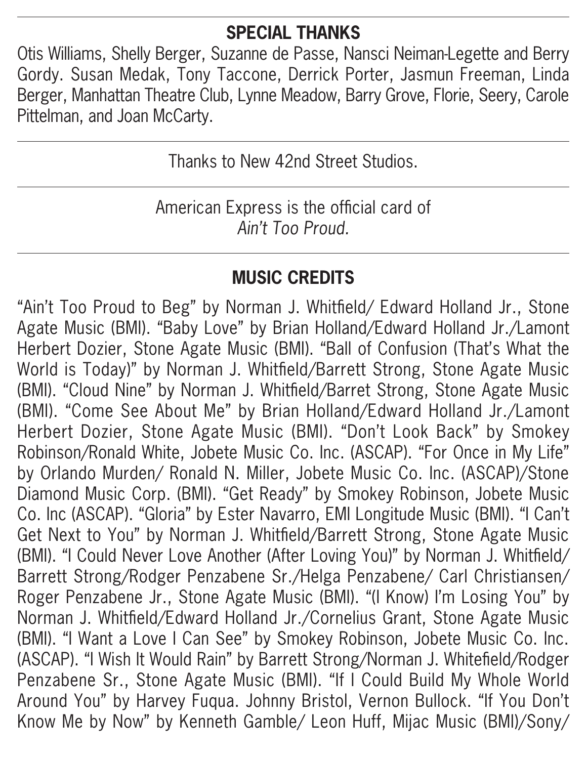# **SPECIAL THANKS**

Otis Williams, Shelly Berger, Suzanne de Passe, Nansci Neiman-Legette and Berry Gordy. Susan Medak, Tony Taccone, Derrick Porter, Jasmun Freeman, Linda Berger, Manhattan Theatre Club, Lynne Meadow, Barry Grove, Florie, Seery, Carole Pittelman, and Joan McCarty.

Thanks to New 42nd Street Studios.

American Express is the official card of *Ain't Too Proud.* 

# **MUSIC CREDITS**

"Ain't Too Proud to Beg" by Norman J. Whitfield/ Edward Holland Jr., Stone Agate Music (BMI). "Baby Love" by Brian Holland/Edward Holland Jr./Lamont Herbert Dozier, Stone Agate Music (BMI). "Ball of Confusion (That's What the World is Today)" by Norman J. Whitfield/Barrett Strong, Stone Agate Music (BMI). "Cloud Nine" by Norman J. Whitfield/Barret Strong, Stone Agate Music (BMI). "Come See About Me" by Brian Holland/Edward Holland Jr./Lamont Herbert Dozier, Stone Agate Music (BMI). "Don't Look Back" by Smokey Robinson/Ronald White, Jobete Music Co. Inc. (ASCAP). "For Once in My Life" by Orlando Murden/ Ronald N. Miller, Jobete Music Co. Inc. (ASCAP)/Stone Diamond Music Corp. (BMI). "Get Ready" by Smokey Robinson, Jobete Music Co. Inc (ASCAP). "Gloria" by Ester Navarro, EMI Longitude Music (BMI). "I Can't Get Next to You" by Norman J. Whitfield/Barrett Strong, Stone Agate Music (BMI). "I Could Never Love Another (After Loving You)" by Norman J. Whitfield/ Barrett Strong/Rodger Penzabene Sr./Helga Penzabene/ Carl Christiansen/ Roger Penzabene Jr., Stone Agate Music (BMI). "(I Know) I'm Losing You" by Norman J. Whitfield/Edward Holland Jr./Cornelius Grant, Stone Agate Music (BMI). "I Want a Love I Can See" by Smokey Robinson, Jobete Music Co. Inc. (ASCAP). "I Wish It Would Rain" by Barrett Strong/Norman J. Whitefield/Rodger Penzabene Sr., Stone Agate Music (BMI). "If I Could Build My Whole World Around You" by Harvey Fuqua. Johnny Bristol, Vernon Bullock. "If You Don't Know Me by Now" by Kenneth Gamble/ Leon Huff, Mijac Music (BMI)/Sony/